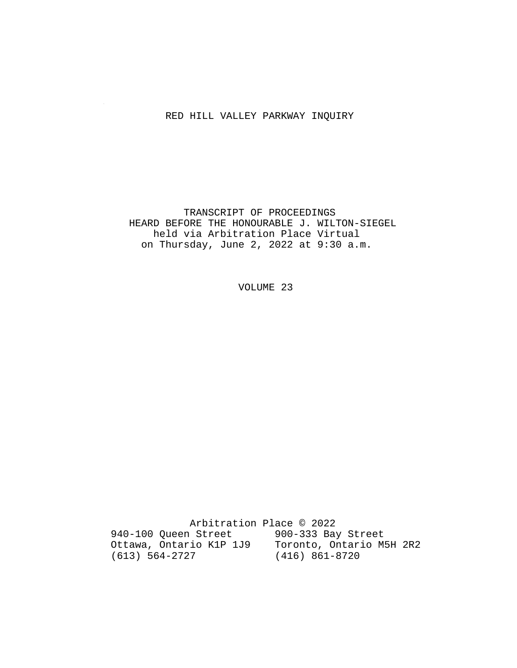## RED HILL VALLEY PARKWAY INQUIRY

 TRANSCRIPT OF PROCEEDINGS HEARD BEFORE THE HONOURABLE J. WILTON-SIEGEL held via Arbitration Place Virtual on Thursday, June 2, 2022 at 9:30 a.m.

VOLUME 23

 Arbitration Place © 2022 940-100 Queen Street 900-333 Bay Street Ottawa, Ontario K1P 1J9 Toronto, Ontario M5H 2R2 (613) 564-2727 (416) 861-8720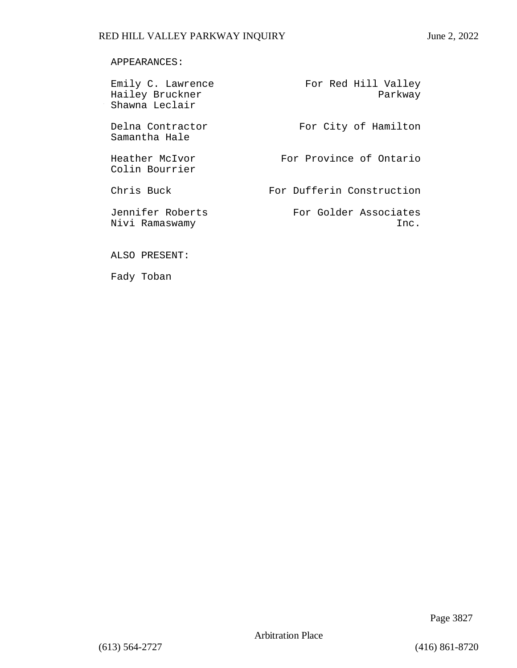## APPEARANCES:

| Emily C. Lawrence<br>Hailey Bruckner<br>Shawna Leclair | For Red Hill Valley<br>Parkway |
|--------------------------------------------------------|--------------------------------|
| Delna Contractor<br>Samantha Hale                      | For City of Hamilton           |
| Heather McIvor<br>Colin Bourrier                       | For Province of Ontario        |
| Chris Buck                                             | For Dufferin Construction      |
| Jennifer Roberts<br>Nivi Ramaswamy                     | For Golder Associates<br>Inc.  |

ALSO PRESENT:

Fady Toban

Page 3827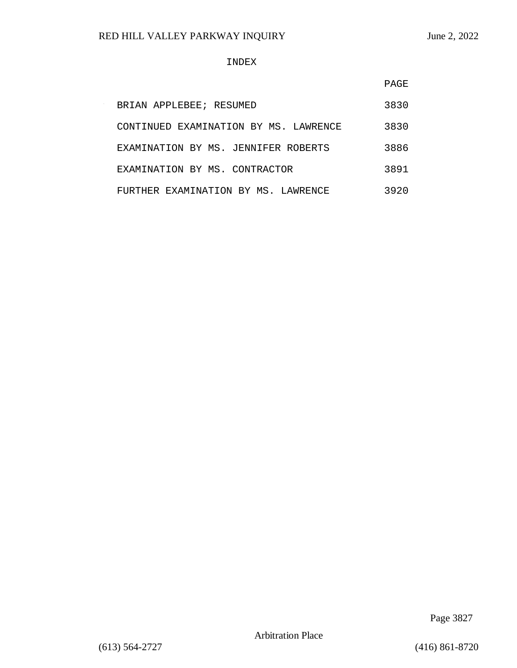### INDEX

|                                       | PAGE |
|---------------------------------------|------|
| BRIAN APPLEBEE; RESUMED               | 3830 |
| CONTINUED EXAMINATION BY MS. LAWRENCE | 3830 |
| EXAMINATION BY MS. JENNIFER ROBERTS   | 3886 |
| EXAMINATION BY MS. CONTRACTOR         | 3891 |
| FURTHER EXAMINATION BY MS. LAWRENCE   | 3920 |

Page 3827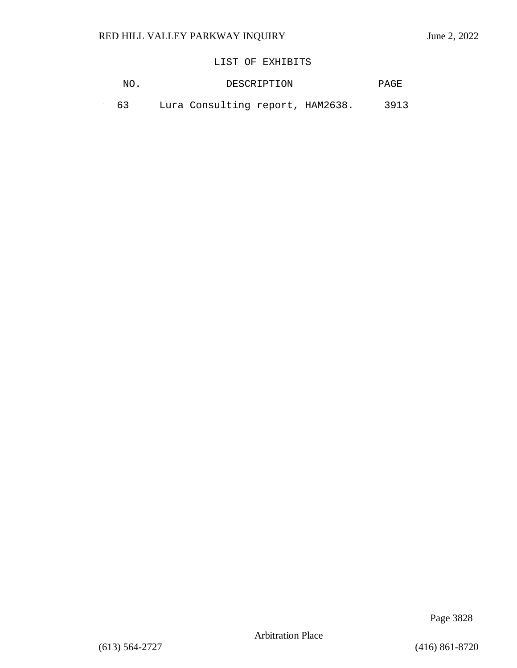$\sim$ 

# LIST OF EXHIBITS

| - 63 |  | Lura Consulting report, HAM2638. |  |  | 3913 |
|------|--|----------------------------------|--|--|------|
|------|--|----------------------------------|--|--|------|

Page 3828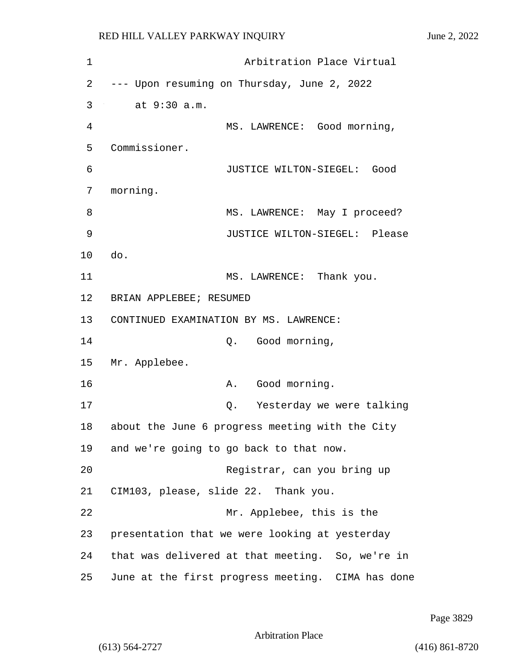1 Arbitration Place Virtual 2 --- Upon resuming on Thursday, June 2, 2022 3 at 9:30 a.m. 4 MS. LAWRENCE: Good morning, 5 Commissioner. 6 JUSTICE WILTON-SIEGEL: Good 7 morning. 8 MS. LAWRENCE: May I proceed? 9 JUSTICE WILTON-SIEGEL: Please 10 do. 11 MS. LAWRENCE: Thank you. 12 BRIAN APPLEBEE; RESUMED 13 CONTINUED EXAMINATION BY MS. LAWRENCE: 14 Q. Good morning, 15 Mr. Applebee. 16 A. Good morning. 17 Q. Yesterday we were talking 18 about the June 6 progress meeting with the City 19 and we're going to go back to that now. 20 Registrar, can you bring up 21 CIM103, please, slide 22. Thank you. 22 Mr. Applebee, this is the 23 presentation that we were looking at yesterday 24 that was delivered at that meeting. So, we're in 25 June at the first progress meeting. CIMA has done

Page 3829

Arbitration Place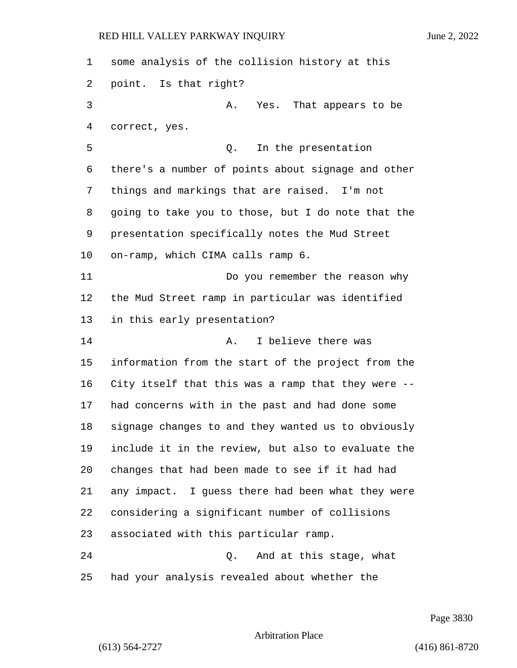some analysis of the collision history at this point. Is that right? 3 A. Yes. That appears to be correct, yes. 5 Q. In the presentation there's a number of points about signage and other things and markings that are raised. I'm not going to take you to those, but I do note that the presentation specifically notes the Mud Street on-ramp, which CIMA calls ramp 6. 11 Do you remember the reason why the Mud Street ramp in particular was identified in this early presentation? 14 A. I believe there was information from the start of the project from the City itself that this was a ramp that they were -- had concerns with in the past and had done some signage changes to and they wanted us to obviously include it in the review, but also to evaluate the changes that had been made to see if it had had any impact. I guess there had been what they were considering a significant number of collisions associated with this particular ramp. 24 Q. And at this stage, what had your analysis revealed about whether the

# Arbitration Place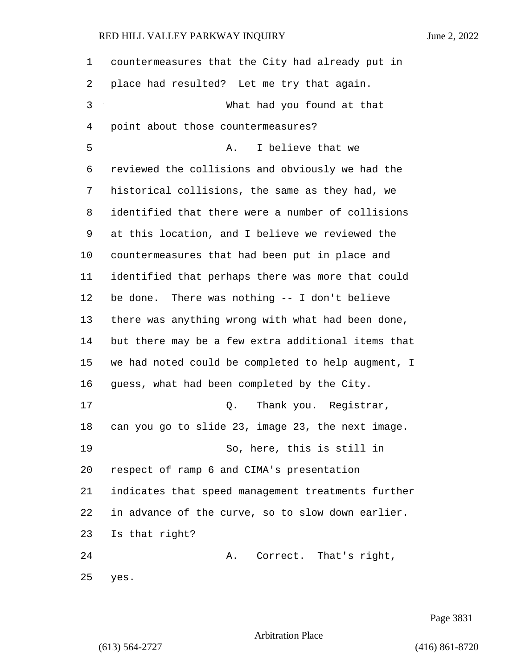countermeasures that the City had already put in place had resulted? Let me try that again. 3 What had you found at that point about those countermeasures? 5 A. I believe that we reviewed the collisions and obviously we had the historical collisions, the same as they had, we identified that there were a number of collisions at this location, and I believe we reviewed the countermeasures that had been put in place and identified that perhaps there was more that could be done. There was nothing -- I don't believe there was anything wrong with what had been done, but there may be a few extra additional items that we had noted could be completed to help augment, I guess, what had been completed by the City. 17 and 0. Thank you. Reqistrar, can you go to slide 23, image 23, the next image. 19 So, here, this is still in respect of ramp 6 and CIMA's presentation indicates that speed management treatments further in advance of the curve, so to slow down earlier. Is that right? 24 A. Correct. That's right, yes.

Page 3831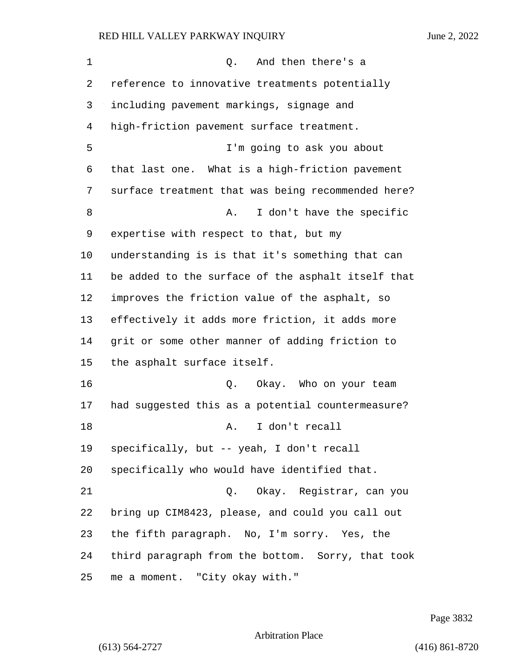1 Q. And then there's a reference to innovative treatments potentially including pavement markings, signage and high-friction pavement surface treatment. 5 I'm going to ask you about that last one. What is a high-friction pavement surface treatment that was being recommended here? 8 A. I don't have the specific expertise with respect to that, but my understanding is is that it's something that can be added to the surface of the asphalt itself that improves the friction value of the asphalt, so effectively it adds more friction, it adds more grit or some other manner of adding friction to the asphalt surface itself. 16 Q. Okay. Who on your team had suggested this as a potential countermeasure? 18 A. I don't recall specifically, but -- yeah, I don't recall specifically who would have identified that. 21 Q. Okay. Registrar, can you bring up CIM8423, please, and could you call out the fifth paragraph. No, I'm sorry. Yes, the third paragraph from the bottom. Sorry, that took me a moment. "City okay with."

Page 3832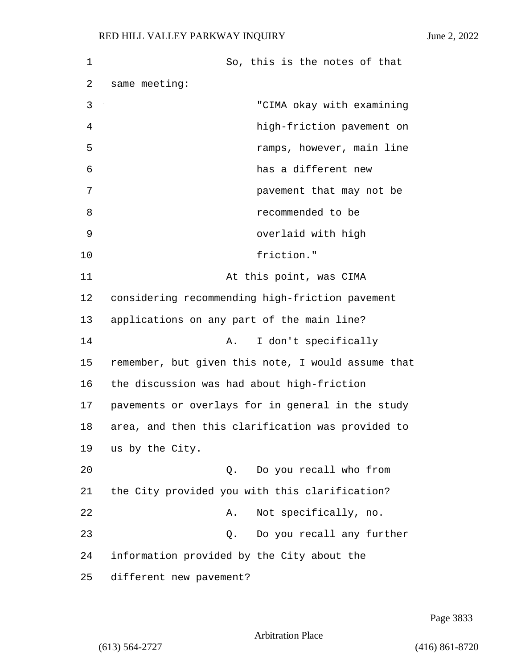1 So, this is the notes of that 2 same meeting: 3 "CIMA okay with examining 4 high-friction pavement on 5 ramps, however, main line 6 has a different new 7 pavement that may not be 8 recommended to be 9 overlaid with high 10 friction." 11 At this point, was CIMA 12 considering recommending high-friction pavement 13 applications on any part of the main line? 14 A. I don't specifically 15 remember, but given this note, I would assume that 16 the discussion was had about high-friction 17 pavements or overlays for in general in the study 18 area, and then this clarification was provided to 19 us by the City. 20 Q. Do you recall who from 21 the City provided you with this clarification? 22 A. Not specifically, no. 23 Q. Do you recall any further 24 information provided by the City about the 25 different new pavement?

Page 3833

Arbitration Place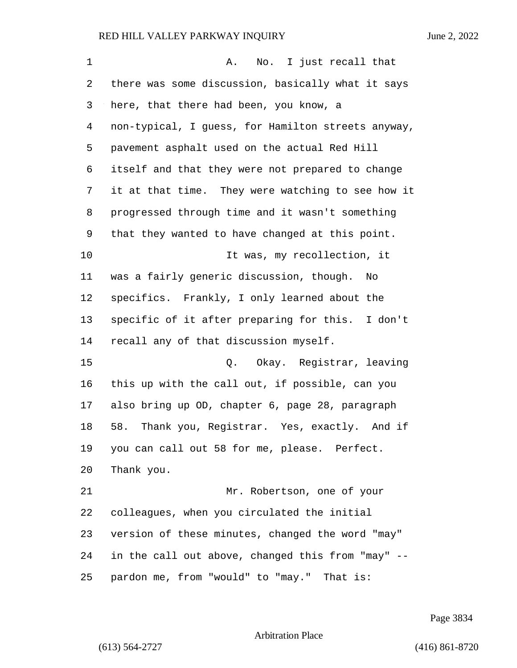| $\mathbf 1$ | No. I just recall that<br>Α.                         |
|-------------|------------------------------------------------------|
| 2           | there was some discussion, basically what it says    |
| 3           | here, that there had been, you know, a               |
| 4           | non-typical, I guess, for Hamilton streets anyway,   |
| 5           | pavement asphalt used on the actual Red Hill         |
| 6           | itself and that they were not prepared to change     |
| 7           | it at that time. They were watching to see how it    |
| 8           | progressed through time and it wasn't something      |
| 9           | that they wanted to have changed at this point.      |
| $10 \,$     | It was, my recollection, it                          |
| 11          | was a fairly generic discussion, though.<br>No       |
| 12          | specifics. Frankly, I only learned about the         |
| 13          | specific of it after preparing for this. I don't     |
| 14          | recall any of that discussion myself.                |
| 15          | Q. Okay. Registrar, leaving                          |
| 16          | this up with the call out, if possible, can you      |
| 17          | also bring up OD, chapter 6, page 28, paragraph      |
| 18          | Thank you, Registrar. Yes, exactly.<br>58.<br>And if |
| 19          | you can call out 58 for me, please. Perfect.         |
| 20          | Thank you.                                           |
| 21          | Mr. Robertson, one of your                           |
| 22          | colleagues, when you circulated the initial          |
| 23          | version of these minutes, changed the word "may"     |
| 24          | in the call out above, changed this from "may" --    |
| 25          | pardon me, from "would" to "may." That is:           |

Page 3834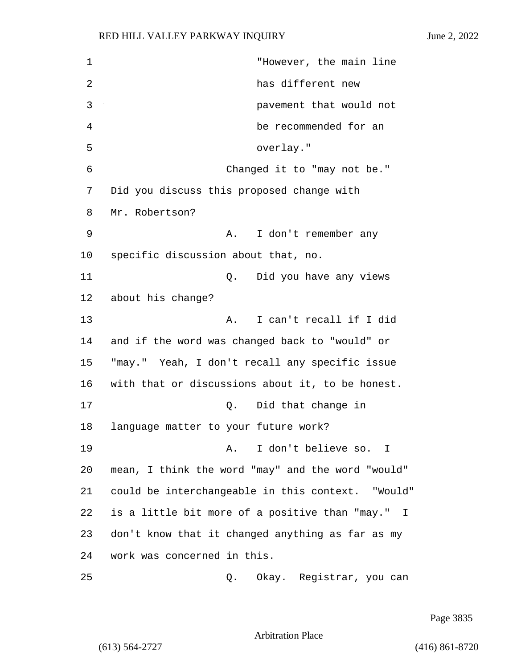1 "However, the main line 2 has different new 3 pavement that would not 4 be recommended for an 5 overlay." 6 Changed it to "may not be." 7 Did you discuss this proposed change with 8 Mr. Robertson? 9 A. I don't remember any 10 specific discussion about that, no. 11 Q. Did you have any views 12 about his change? 13 A. I can't recall if I did 14 and if the word was changed back to "would" or 15 "may." Yeah, I don't recall any specific issue 16 with that or discussions about it, to be honest. 17 Q. Did that change in 18 language matter to your future work? 19 A. I don't believe so. I 20 mean, I think the word "may" and the word "would" 21 could be interchangeable in this context. "Would" 22 is a little bit more of a positive than "may." I 23 don't know that it changed anything as far as my 24 work was concerned in this. 25 Q. Okay. Registrar, you can

Page 3835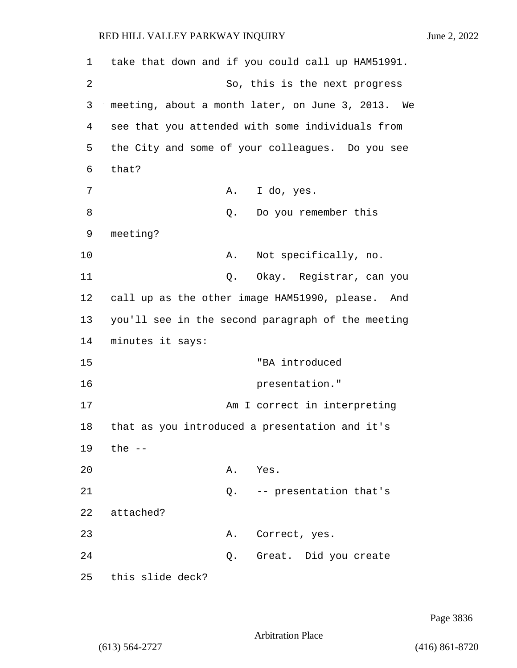| 1  | take that down and if you could call up HAM51991.   |
|----|-----------------------------------------------------|
| 2  | So, this is the next progress                       |
| 3  | meeting, about a month later, on June 3, 2013. We   |
| 4  | see that you attended with some individuals from    |
| 5  | the City and some of your colleagues. Do you see    |
| 6  | that?                                               |
| 7  | I do, yes.<br>Α.                                    |
| 8  | Do you remember this<br>Q.                          |
| 9  | meeting?                                            |
| 10 | Not specifically, no.<br>Α.                         |
| 11 | Okay. Registrar, can you<br>Q.                      |
| 12 | call up as the other image HAM51990, please.<br>And |
| 13 | you'll see in the second paragraph of the meeting   |
| 14 | minutes it says:                                    |
| 15 | "BA introduced                                      |
| 16 | presentation."                                      |
| 17 | Am I correct in interpreting                        |
| 18 | that as you introduced a presentation and it's      |
| 19 | the --                                              |
| 20 | Α.<br>Yes.                                          |
| 21 | -- presentation that's<br>Q.                        |
| 22 | attached?                                           |
| 23 | Correct, yes.<br>Α.                                 |
| 24 | Great. Did you create<br>Q.                         |
| 25 | this slide deck?                                    |

Page 3836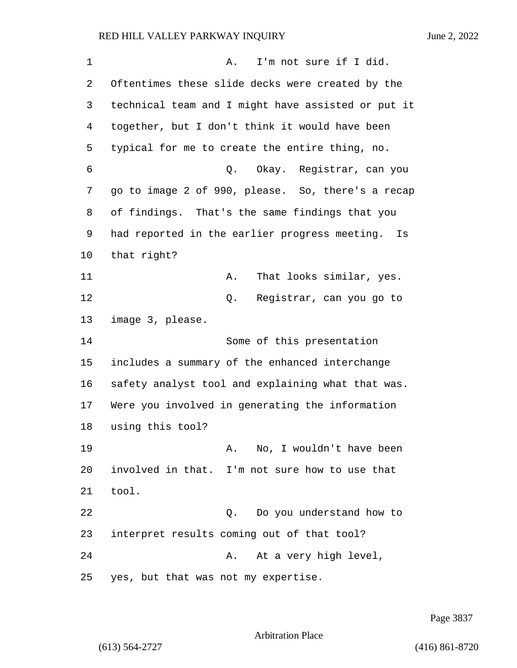| 1  | I'm not sure if I did.<br>Α.                        |
|----|-----------------------------------------------------|
| 2  | Oftentimes these slide decks were created by the    |
| 3  | technical team and I might have assisted or put it  |
| 4  | together, but I don't think it would have been      |
| 5  | typical for me to create the entire thing, no.      |
| 6  | Okay. Registrar, can you<br>Q.                      |
| 7  | go to image 2 of 990, please. So, there's a recap   |
| 8  | of findings. That's the same findings that you      |
| 9  | had reported in the earlier progress meeting.<br>Is |
| 10 | that right?                                         |
| 11 | That looks similar, yes.<br>Α.                      |
| 12 | Registrar, can you go to<br>Q.                      |
| 13 | image 3, please.                                    |
| 14 | Some of this presentation                           |
| 15 | includes a summary of the enhanced interchange      |
| 16 | safety analyst tool and explaining what that was.   |
| 17 | Were you involved in generating the information     |
| 18 | using this tool?                                    |
| 19 | No, I wouldn't have been<br>Α.                      |
| 20 | involved in that. I'm not sure how to use that      |
| 21 | tool.                                               |
| 22 | Do you understand how to<br>Q.                      |
| 23 | interpret results coming out of that tool?          |
| 24 | At a very high level,<br>Α.                         |
| 25 | yes, but that was not my expertise.                 |

Page 3837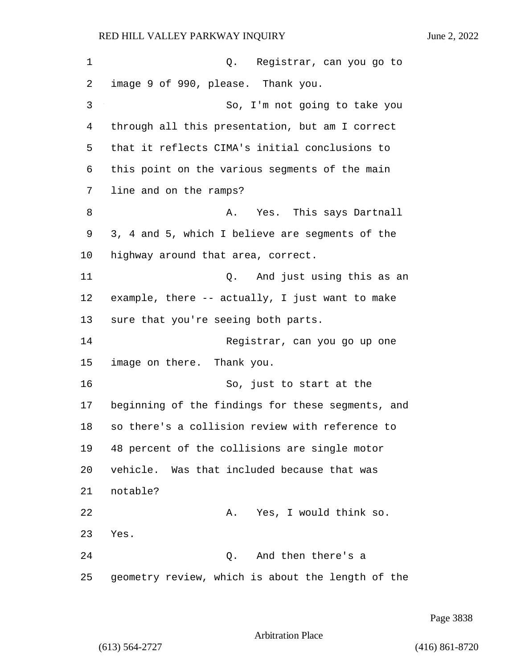1 Q. Registrar, can you go to 2 image 9 of 990, please. Thank you. 3 So, I'm not going to take you 4 through all this presentation, but am I correct 5 that it reflects CIMA's initial conclusions to 6 this point on the various segments of the main 7 line and on the ramps? 8 A. Yes. This says Dartnall 9 3, 4 and 5, which I believe are segments of the 10 highway around that area, correct. 11 Q. And just using this as an 12 example, there -- actually, I just want to make 13 sure that you're seeing both parts. 14 Registrar, can you go up one 15 image on there. Thank you. 16 So, just to start at the 17 beginning of the findings for these segments, and 18 so there's a collision review with reference to 19 48 percent of the collisions are single motor 20 vehicle. Was that included because that was 21 notable? 22 A. Yes, I would think so. 23 Yes. 24 Q. And then there's a 25 geometry review, which is about the length of the

Page 3838

Arbitration Place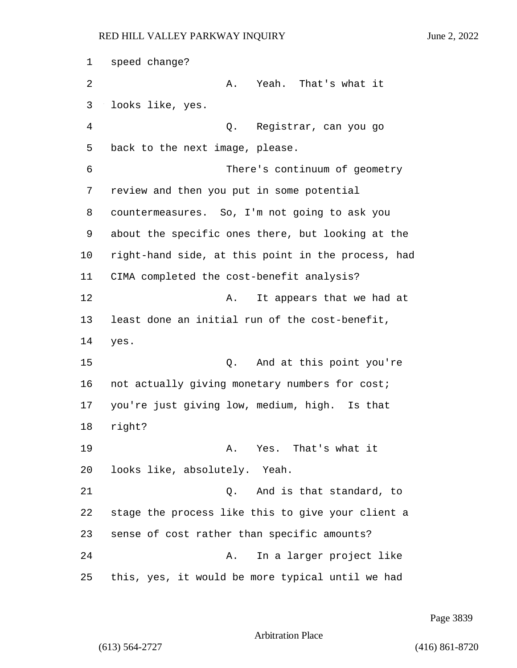1 speed change? 2 A. Yeah. That's what it 3 looks like, yes. 4 Q. Registrar, can you go 5 back to the next image, please. 6 There's continuum of geometry 7 review and then you put in some potential 8 countermeasures. So, I'm not going to ask you 9 about the specific ones there, but looking at the 10 right-hand side, at this point in the process, had 11 CIMA completed the cost-benefit analysis? 12 **A.** It appears that we had at 13 least done an initial run of the cost-benefit, 14 yes. 15 Q. And at this point you're 16 not actually giving monetary numbers for cost; 17 you're just giving low, medium, high. Is that 18 right? 19 A. Yes. That's what it 20 looks like, absolutely. Yeah. 21 Q. And is that standard, to 22 stage the process like this to give your client a 23 sense of cost rather than specific amounts? 24 A. In a larger project like 25 this, yes, it would be more typical until we had

Page 3839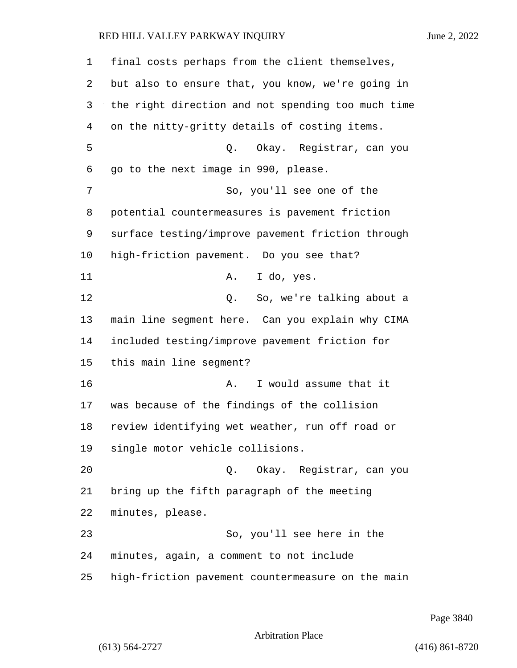final costs perhaps from the client themselves, but also to ensure that, you know, we're going in the right direction and not spending too much time on the nitty-gritty details of costing items. 5 Q. Okay. Registrar, can you go to the next image in 990, please. 7 So, you'll see one of the potential countermeasures is pavement friction surface testing/improve pavement friction through high-friction pavement. Do you see that? 11 A. I do, yes. 12 C. So, we're talking about a main line segment here. Can you explain why CIMA included testing/improve pavement friction for this main line segment? 16 A. I would assume that it was because of the findings of the collision review identifying wet weather, run off road or single motor vehicle collisions. 20 Q. Okay. Registrar, can you bring up the fifth paragraph of the meeting minutes, please. 23 So, you'll see here in the minutes, again, a comment to not include high-friction pavement countermeasure on the main

Page 3840

Arbitration Place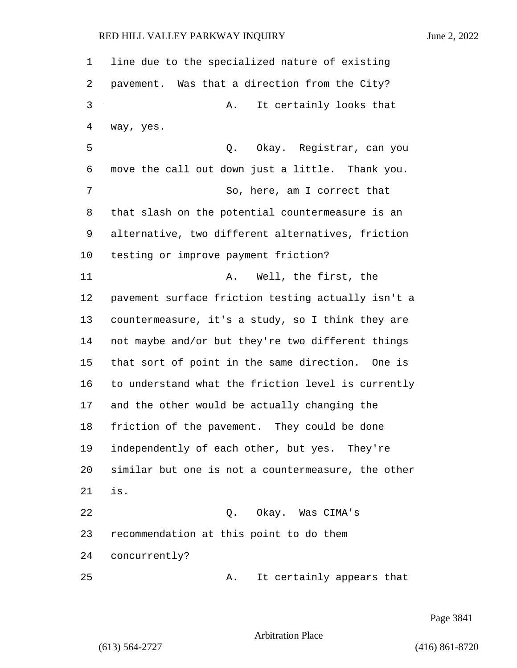line due to the specialized nature of existing pavement. Was that a direction from the City? 3 A. It certainly looks that way, yes. 5 Q. Okay. Registrar, can you move the call out down just a little. Thank you. 7 So, here, am I correct that that slash on the potential countermeasure is an alternative, two different alternatives, friction testing or improve payment friction? 11 A. Well, the first, the pavement surface friction testing actually isn't a countermeasure, it's a study, so I think they are not maybe and/or but they're two different things that sort of point in the same direction. One is to understand what the friction level is currently and the other would be actually changing the friction of the pavement. They could be done independently of each other, but yes. They're similar but one is not a countermeasure, the other is. 22 Q. Okay. Was CIMA's recommendation at this point to do them concurrently? 25 A. It certainly appears that

Page 3841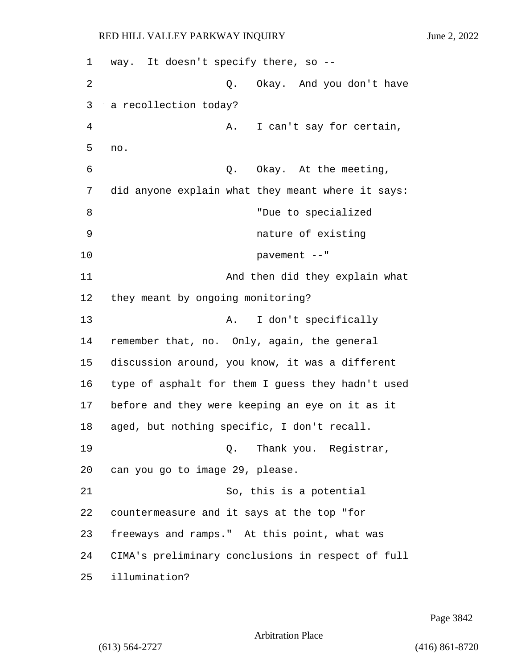1 way. It doesn't specify there, so -- 2 Q. Okay. And you don't have 3 a recollection today? 4 A. I can't say for certain, 5 no. 6 Q. Okay. At the meeting, 7 did anyone explain what they meant where it says: 8 **8** "Due to specialized 9 nature of existing 10 pavement --" 11 And then did they explain what 12 they meant by ongoing monitoring? 13 A. I don't specifically 14 remember that, no. Only, again, the general 15 discussion around, you know, it was a different 16 type of asphalt for them I guess they hadn't used 17 before and they were keeping an eye on it as it 18 aged, but nothing specific, I don't recall. 19 Q. Thank you. Registrar, 20 can you go to image 29, please. 21 So, this is a potential 22 countermeasure and it says at the top "for 23 freeways and ramps." At this point, what was 24 CIMA's preliminary conclusions in respect of full 25 illumination?

Page 3842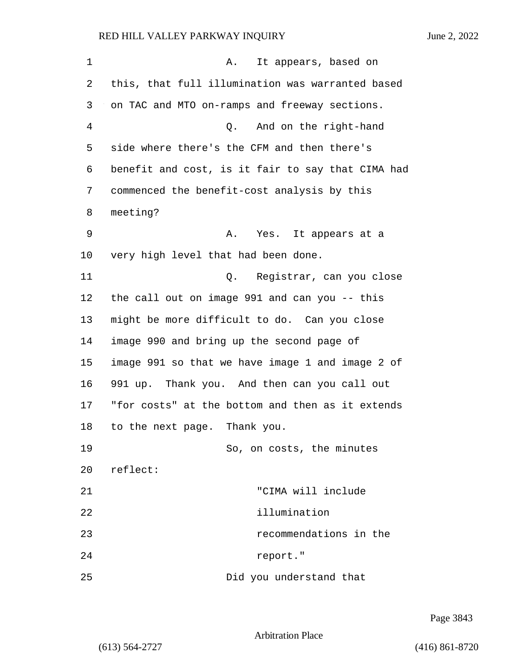1 A. It appears, based on 2 this, that full illumination was warranted based 3 on TAC and MTO on-ramps and freeway sections. 4 Q. And on the right-hand 5 side where there's the CFM and then there's 6 benefit and cost, is it fair to say that CIMA had 7 commenced the benefit-cost analysis by this 8 meeting? 9 A. Yes. It appears at a 10 very high level that had been done. 11 Q. Registrar, can you close 12 the call out on image 991 and can you -- this 13 might be more difficult to do. Can you close 14 image 990 and bring up the second page of 15 image 991 so that we have image 1 and image 2 of 16 991 up. Thank you. And then can you call out 17 "for costs" at the bottom and then as it extends 18 to the next page. Thank you. 19 So, on costs, the minutes 20 reflect: 21 "CIMA will include 22 illumination 23 recommendations in the 24 report."

25 Did you understand that

Page 3843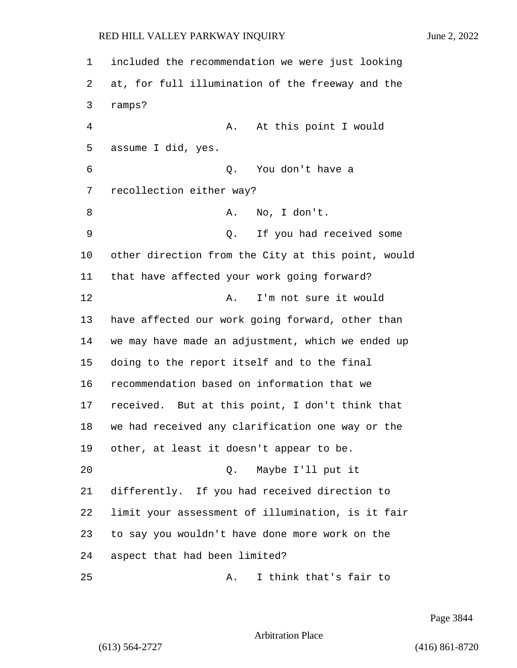| 1  | included the recommendation we were just looking   |  |  |
|----|----------------------------------------------------|--|--|
| 2  | at, for full illumination of the freeway and the   |  |  |
| 3  | ramps?                                             |  |  |
| 4  | At this point I would<br>Α.                        |  |  |
| 5  | assume I did, yes.                                 |  |  |
| 6  | You don't have a<br>Q.                             |  |  |
| 7  | recollection either way?                           |  |  |
| 8  | No, I don't.<br>Α.                                 |  |  |
| 9  | If you had received some<br>Q.                     |  |  |
| 10 | other direction from the City at this point, would |  |  |
| 11 | that have affected your work going forward?        |  |  |
| 12 | I'm not sure it would<br>Α.                        |  |  |
| 13 | have affected our work going forward, other than   |  |  |
| 14 | we may have made an adjustment, which we ended up  |  |  |
| 15 | doing to the report itself and to the final        |  |  |
| 16 | recommendation based on information that we        |  |  |
| 17 | received. But at this point, I don't think that    |  |  |
| 18 | we had received any clarification one way or the   |  |  |
| 19 | other, at least it doesn't appear to be.           |  |  |
| 20 | Maybe I'll put it<br>Q.                            |  |  |
| 21 | differently. If you had received direction to      |  |  |
| 22 | limit your assessment of illumination, is it fair  |  |  |
| 23 | to say you wouldn't have done more work on the     |  |  |
| 24 | aspect that had been limited?                      |  |  |
| 25 | I think that's fair to<br>Α.                       |  |  |

Page 3844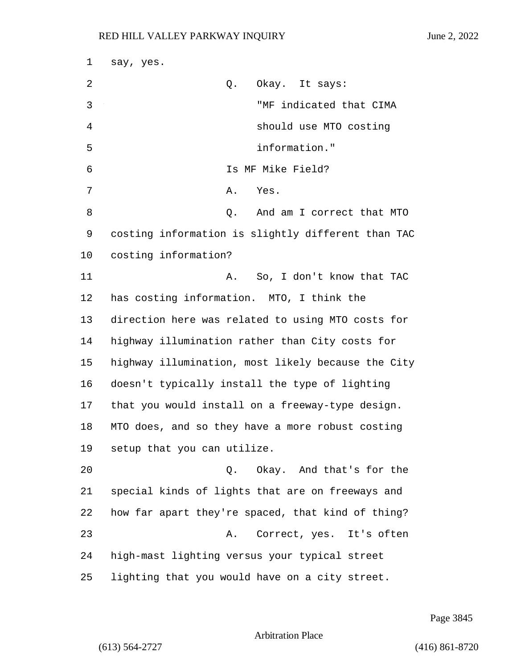| $\mathbf 1$ | say, yes.                                          |
|-------------|----------------------------------------------------|
| 2           | Okay. It says:<br>Q.                               |
| 3           | "MF indicated that CIMA                            |
| 4           | should use MTO costing                             |
| 5           | information."                                      |
| 6           | Is MF Mike Field?                                  |
| 7           | Α.<br>Yes.                                         |
| 8           | Q. And am I correct that MTO                       |
| 9           | costing information is slightly different than TAC |
| 10          | costing information?                               |
| 11          | So, I don't know that TAC<br>Α.                    |
| 12          | has costing information. MTO, I think the          |
| 13          | direction here was related to using MTO costs for  |
| 14          | highway illumination rather than City costs for    |
| 15          | highway illumination, most likely because the City |
| 16          | doesn't typically install the type of lighting     |
| 17          | that you would install on a freeway-type design.   |
| 18          | MTO does, and so they have a more robust costing   |
| 19          | setup that you can utilize.                        |
| 20          | Okay. And that's for the<br>Q.                     |
| 21          | special kinds of lights that are on freeways and   |
| 22          | how far apart they're spaced, that kind of thing?  |
| 23          | Correct, yes. It's often<br>Α.                     |
| 24          | high-mast lighting versus your typical street      |
| 25          | lighting that you would have on a city street.     |

Page 3845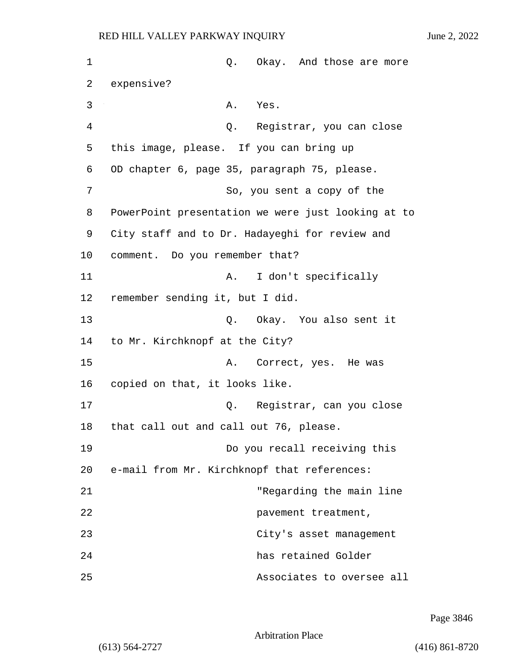| 1  | Q. Okay. And those are more                        |
|----|----------------------------------------------------|
| 2  | expensive?                                         |
| 3  | Α.<br>Yes.                                         |
| 4  | Q. Registrar, you can close                        |
| 5  | this image, please. If you can bring up            |
| 6  | OD chapter 6, page 35, paragraph 75, please.       |
| 7  | So, you sent a copy of the                         |
| 8  | PowerPoint presentation we were just looking at to |
| 9  | City staff and to Dr. Hadayeghi for review and     |
| 10 | comment. Do you remember that?                     |
| 11 | I don't specifically<br>Α.                         |
| 12 | remember sending it, but I did.                    |
| 13 | Q. Okay. You also sent it                          |
| 14 | to Mr. Kirchknopf at the City?                     |
| 15 | Correct, yes. He was<br>Α.                         |
| 16 | copied on that, it looks like.                     |
| 17 | Q. Registrar, can you close                        |
| 18 | that call out and call out 76, please.             |
| 19 | Do you recall receiving this                       |
| 20 | e-mail from Mr. Kirchknopf that references:        |
| 21 | "Regarding the main line                           |
| 22 | pavement treatment,                                |
| 23 | City's asset management                            |
| 24 | has retained Golder                                |
| 25 | Associates to oversee all                          |

Page 3846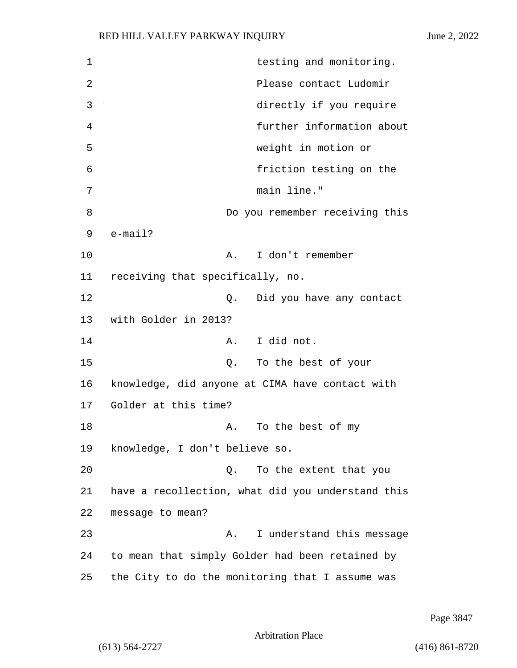1 testing and monitoring. 2 Please contact Ludomir 3 directly if you require 4 further information about 5 weight in motion or 6 friction testing on the 7 main line." 8 Do you remember receiving this 9 e-mail? 10 A. I don't remember 11 receiving that specifically, no. 12 **12** O. Did you have any contact 13 with Golder in 2013? 14 A. I did not. 15 Q. To the best of your 16 knowledge, did anyone at CIMA have contact with 17 Golder at this time? 18 A. To the best of my 19 knowledge, I don't believe so. 20 Q. To the extent that you 21 have a recollection, what did you understand this 22 message to mean? 23 A. I understand this message 24 to mean that simply Golder had been retained by 25 the City to do the monitoring that I assume was

Page 3847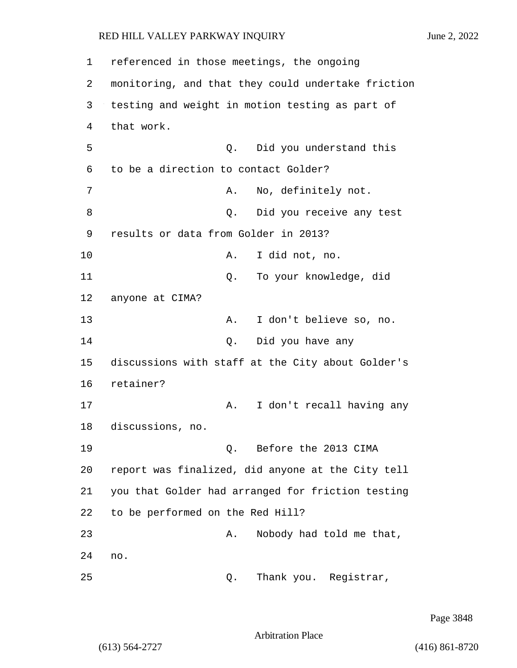1 referenced in those meetings, the ongoing 2 monitoring, and that they could undertake friction 3 testing and weight in motion testing as part of 4 that work. 5 Q. Did you understand this 6 to be a direction to contact Golder? 7 A. No, definitely not. 8 and 2. Did you receive any test 9 results or data from Golder in 2013? 10 A. I did not, no. 11 Q. To your knowledge, did 12 anyone at CIMA? 13 A. I don't believe so, no. 14 Q. Did you have any 15 discussions with staff at the City about Golder's 16 retainer? 17 A. I don't recall having any 18 discussions, no. 19 Q. Before the 2013 CIMA 20 report was finalized, did anyone at the City tell 21 you that Golder had arranged for friction testing 22 to be performed on the Red Hill? 23 A. Nobody had told me that, 24 no. 25 Q. Thank you. Registrar,

Page 3848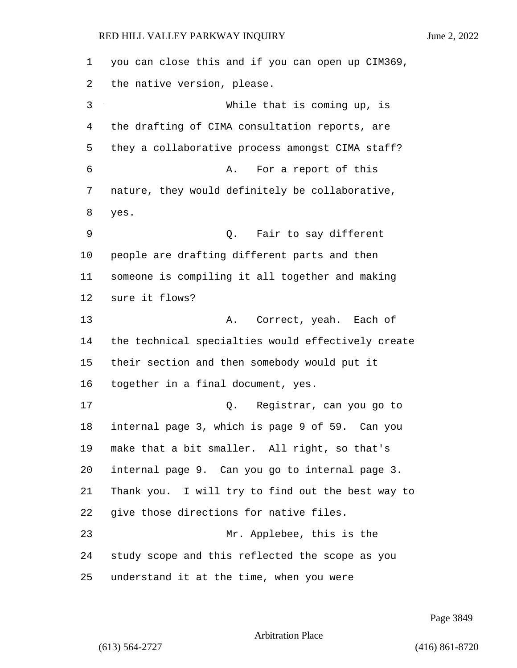you can close this and if you can open up CIM369, the native version, please. 3 While that is coming up, is the drafting of CIMA consultation reports, are they a collaborative process amongst CIMA staff? 6 A. For a report of this nature, they would definitely be collaborative, yes. 9 Q. Fair to say different people are drafting different parts and then someone is compiling it all together and making sure it flows? 13 A. Correct, yeah. Each of the technical specialties would effectively create their section and then somebody would put it together in a final document, yes. 17 Q. Registrar, can you go to internal page 3, which is page 9 of 59. Can you make that a bit smaller. All right, so that's internal page 9. Can you go to internal page 3. Thank you. I will try to find out the best way to give those directions for native files. 23 Mr. Applebee, this is the study scope and this reflected the scope as you understand it at the time, when you were

Page 3849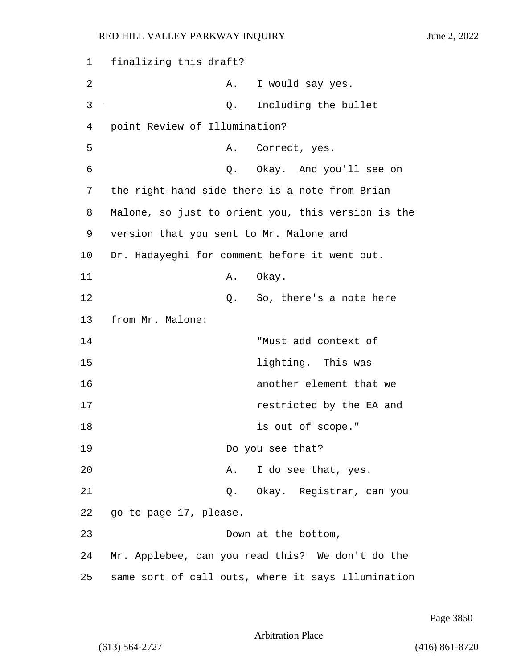1 finalizing this draft? 2 A. I would say yes. 3 Q. Including the bullet 4 point Review of Illumination? 5 A. Correct, yes. 6 Q. Okay. And you'll see on 7 the right-hand side there is a note from Brian 8 Malone, so just to orient you, this version is the 9 version that you sent to Mr. Malone and 10 Dr. Hadayeghi for comment before it went out. 11 A. Okay. 12 C. So, there's a note here 13 from Mr. Malone: 14 "Must add context of 15 **lighting**. This was 16 another element that we 17 **17** *restricted by the EA and* 18 is out of scope." 19 Do you see that? 20 A. I do see that, yes. 21 Q. Okay. Registrar, can you 22 go to page 17, please. 23 Down at the bottom, 24 Mr. Applebee, can you read this? We don't do the 25 same sort of call outs, where it says Illumination

Page 3850

Arbitration Place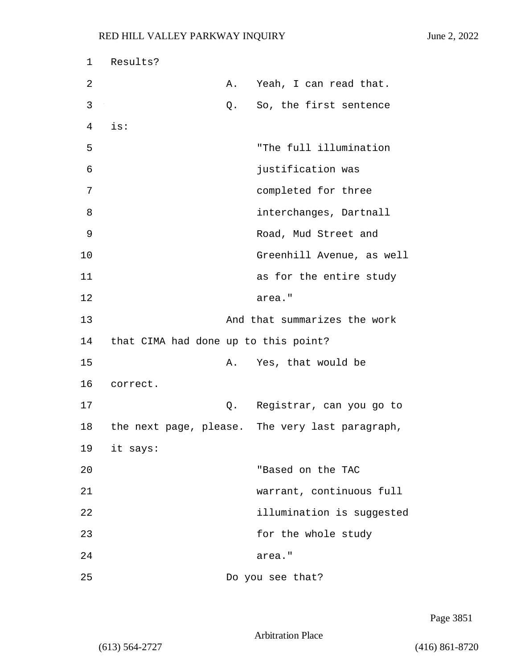| $\mathbf 1$ | Results?                             |    |                                                 |
|-------------|--------------------------------------|----|-------------------------------------------------|
| 2           |                                      | Α. | Yeah, I can read that.                          |
| 3           |                                      | Q. | So, the first sentence                          |
| 4           | is:                                  |    |                                                 |
| 5           |                                      |    | "The full illumination                          |
| 6           |                                      |    | justification was                               |
| 7           |                                      |    | completed for three                             |
| 8           |                                      |    | interchanges, Dartnall                          |
| 9           |                                      |    | Road, Mud Street and                            |
| 10          |                                      |    | Greenhill Avenue, as well                       |
| 11          |                                      |    | as for the entire study                         |
| 12          |                                      |    | area."                                          |
| 13          |                                      |    | And that summarizes the work                    |
| 14          | that CIMA had done up to this point? |    |                                                 |
| 15          |                                      | Α. | Yes, that would be                              |
| 16          | correct.                             |    |                                                 |
| 17          |                                      | Q. | Registrar, can you go to                        |
| 18          |                                      |    | the next page, please. The very last paragraph, |
|             | 19 it says:                          |    |                                                 |
| 20          |                                      |    | "Based on the TAC                               |
| 21          |                                      |    | warrant, continuous full                        |
| 22          |                                      |    | illumination is suggested                       |
| 23          |                                      |    | for the whole study                             |
| 24          |                                      |    | area."                                          |
| 25          |                                      |    | Do you see that?                                |

Page 3851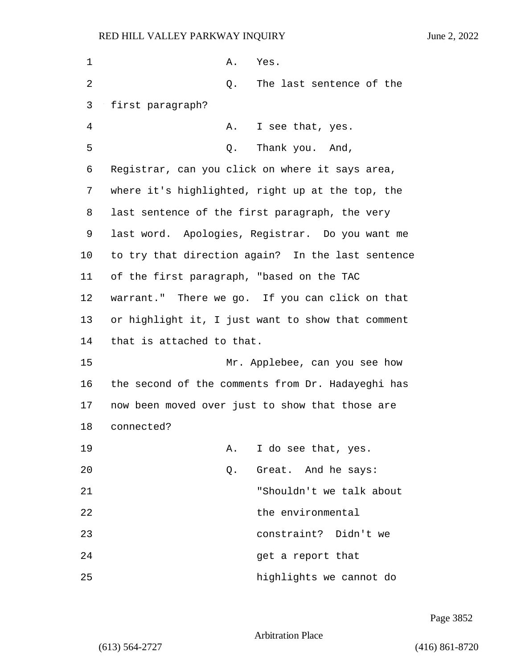| 1  | Α.<br>Yes.                                        |
|----|---------------------------------------------------|
| 2  | Q.<br>The last sentence of the                    |
| 3  | first paragraph?                                  |
| 4  | I see that, yes.<br>Α.                            |
| 5  | Thank you. And,<br>Q.                             |
| 6  | Registrar, can you click on where it says area,   |
| 7  | where it's highlighted, right up at the top, the  |
| 8  | last sentence of the first paragraph, the very    |
| 9  | last word. Apologies, Registrar. Do you want me   |
| 10 | to try that direction again? In the last sentence |
| 11 | of the first paragraph, "based on the TAC         |
| 12 | warrant." There we go. If you can click on that   |
| 13 | or highlight it, I just want to show that comment |
| 14 | that is attached to that.                         |
| 15 | Mr. Applebee, can you see how                     |
| 16 | the second of the comments from Dr. Hadayeghi has |
| 17 | now been moved over just to show that those are   |
| 18 | connected?                                        |
| 19 | I do see that, yes.<br>Α.                         |
| 20 | Great. And he says:<br>Q.                         |
| 21 | "Shouldn't we talk about                          |
| 22 | the environmental                                 |
| 23 | constraint? Didn't we                             |
| 24 | get a report that                                 |
| 25 | highlights we cannot do                           |

Page 3852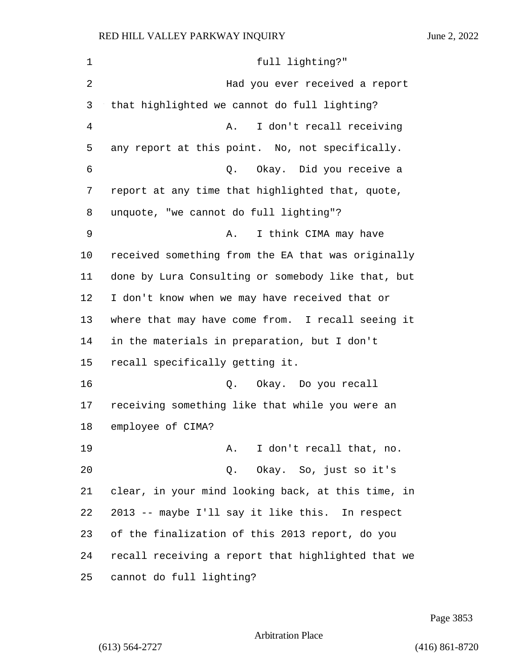| $\mathbf 1$ | full lighting?"                                    |
|-------------|----------------------------------------------------|
| 2           | Had you ever received a report                     |
| 3           | that highlighted we cannot do full lighting?       |
| 4           | I don't recall receiving<br>Α.                     |
| 5           | any report at this point. No, not specifically.    |
| 6           | Q. Okay. Did you receive a                         |
| 7           | report at any time that highlighted that, quote,   |
| 8           | unquote, "we cannot do full lighting"?             |
| 9           | I think CIMA may have<br>Α.                        |
| 10          | received something from the EA that was originally |
| 11          | done by Lura Consulting or somebody like that, but |
| 12          | I don't know when we may have received that or     |
| 13          | where that may have come from. I recall seeing it  |
| 14          | in the materials in preparation, but I don't       |
| 15          | recall specifically getting it.                    |
| 16          | Q. Okay. Do you recall                             |
| 17          | receiving something like that while you were an    |
| 18          | employee of CIMA?                                  |
| 19          | I don't recall that, no.<br>Α.                     |
| 20          | Q. Okay. So, just so it's                          |
| 21          | clear, in your mind looking back, at this time, in |
| 22          | 2013 -- maybe I'll say it like this. In respect    |
| 23          | of the finalization of this 2013 report, do you    |
| 24          | recall receiving a report that highlighted that we |
| 25          | cannot do full lighting?                           |

Page 3853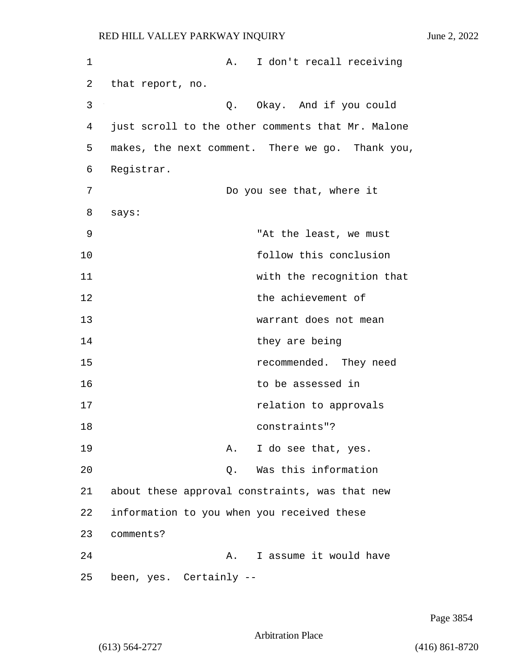1 A. I don't recall receiving 2 that report, no. 3 Q. Okay. And if you could 4 just scroll to the other comments that Mr. Malone 5 makes, the next comment. There we go. Thank you, 6 Registrar. 7 Do you see that, where it 8 says: 9 "At the least, we must 10 follow this conclusion 11 with the recognition that 12 the achievement of 13 warrant does not mean 14 they are being 15 recommended. They need 16 to be assessed in 17 **relation** to approvals 18 constraints"? 19 A. I do see that, yes. 20 Q. Was this information 21 about these approval constraints, was that new 22 information to you when you received these 23 comments? 24 A. I assume it would have 25 been, yes. Certainly --

Page 3854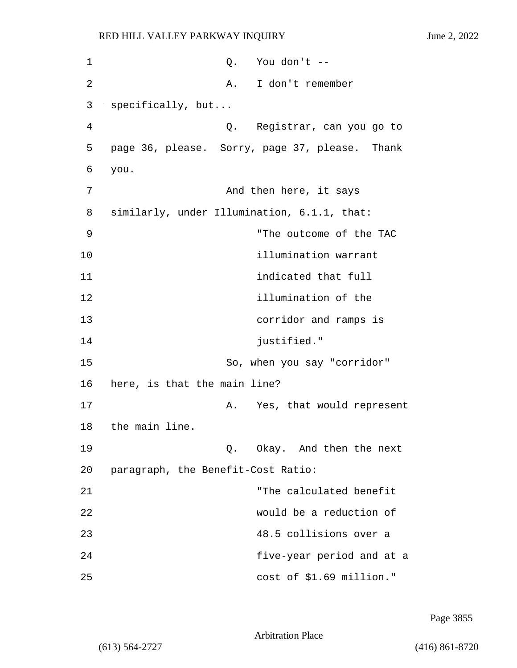| 1  | $Q.$ You don't $-$                             |
|----|------------------------------------------------|
| 2  | I don't remember<br>A.                         |
| 3  | specifically, but                              |
| 4  | Q. Registrar, can you go to                    |
| 5  | page 36, please. Sorry, page 37, please. Thank |
| 6  | you.                                           |
| 7  | And then here, it says                         |
| 8  | similarly, under Illumination, 6.1.1, that:    |
| 9  | "The outcome of the TAC                        |
| 10 | illumination warrant                           |
| 11 | indicated that full                            |
| 12 | illumination of the                            |
| 13 | corridor and ramps is                          |
| 14 | justified."                                    |
| 15 | So, when you say "corridor"                    |
| 16 | here, is that the main line?                   |
| 17 | Yes, that would represent<br>Α.                |
| 18 | the main line.                                 |
| 19 | Okay. And then the next<br>Q.                  |
| 20 | paragraph, the Benefit-Cost Ratio:             |
| 21 | "The calculated benefit                        |
| 22 | would be a reduction of                        |
| 23 | 48.5 collisions over a                         |
| 24 | five-year period and at a                      |
| 25 | cost of \$1.69 million."                       |

Page 3855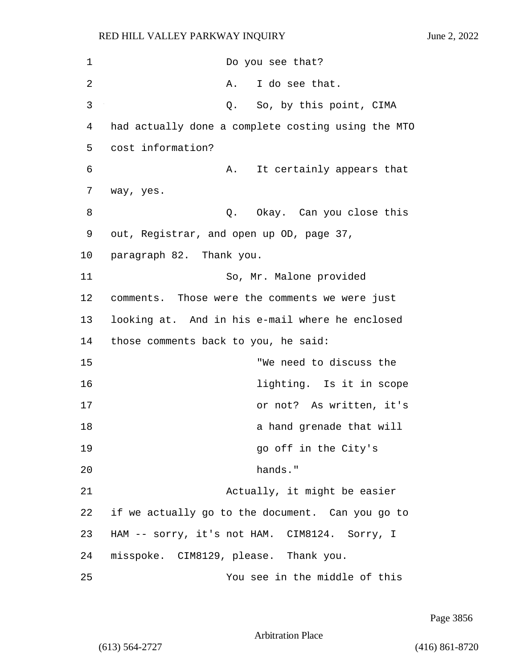| $\mathbf 1$ | Do you see that?                                   |
|-------------|----------------------------------------------------|
| 2           | I do see that.<br>Α.                               |
| 3           | So, by this point, CIMA<br>Q.                      |
| 4           | had actually done a complete costing using the MTO |
| 5           | cost information?                                  |
| 6           | It certainly appears that<br>Α.                    |
| 7           | way, yes.                                          |
| 8           | Q. Okay. Can you close this                        |
| 9           | out, Registrar, and open up OD, page 37,           |
| 10          | paragraph 82. Thank you.                           |
| 11          | So, Mr. Malone provided                            |
| 12          | comments. Those were the comments we were just     |
| 13          | looking at. And in his e-mail where he enclosed    |
| 14          | those comments back to you, he said:               |
| 15          | "We need to discuss the                            |
| 16          | lighting. Is it in scope                           |
| 17          | or not? As written, it's                           |
| 18          | a hand grenade that will                           |
| 19          | go off in the City's                               |
| 20          | hands."                                            |
| 21          | Actually, it might be easier                       |
| 22          | if we actually go to the document. Can you go to   |
| 23          | HAM -- sorry, it's not HAM. CIM8124. Sorry, I      |
| 24          | misspoke. CIM8129, please. Thank you.              |
| 25          | You see in the middle of this                      |

Page 3856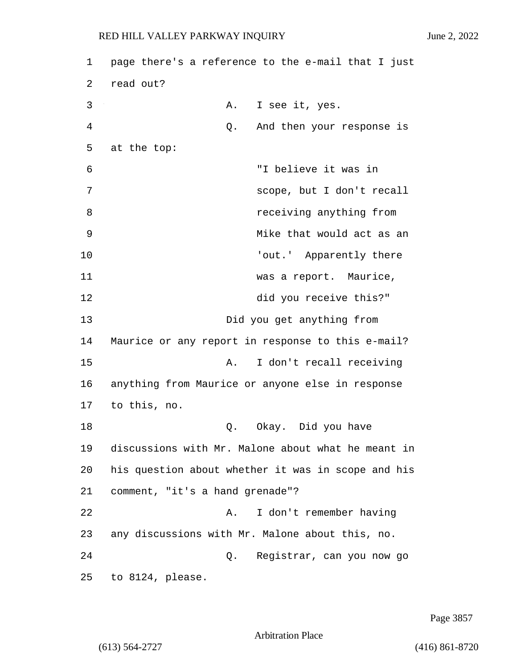1 page there's a reference to the e-mail that I just 2 read out? 3 A. I see it, yes. 4 Q. And then your response is 5 at the top: 6 "I believe it was in 7 scope, but I don't recall 8 **8** *receiving anything from* 9 Mike that would act as an 10  $\qquad \qquad$  'out.' Apparently there 11 was a report. Maurice, 12 did you receive this?" 13 Did you get anything from 14 Maurice or any report in response to this e-mail? 15 A. I don't recall receiving 16 anything from Maurice or anyone else in response 17 to this, no. 18 Q. Okay. Did you have 19 discussions with Mr. Malone about what he meant in 20 his question about whether it was in scope and his 21 comment, "it's a hand grenade"? 22 A. I don't remember having 23 any discussions with Mr. Malone about this, no. 24 Q. Registrar, can you now go 25 to 8124, please.

Page 3857

# Arbitration Place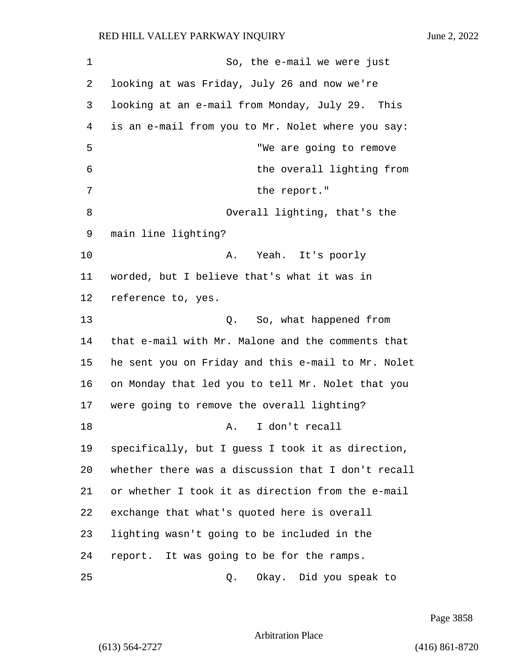1 So, the e-mail we were just looking at was Friday, July 26 and now we're looking at an e-mail from Monday, July 29. This is an e-mail from you to Mr. Nolet where you say: 5 "We are going to remove 6 the overall lighting from 7 the report." 8 Overall lighting, that's the main line lighting? 10 A. Yeah. It's poorly worded, but I believe that's what it was in reference to, yes. 13 Q. So, what happened from that e-mail with Mr. Malone and the comments that he sent you on Friday and this e-mail to Mr. Nolet on Monday that led you to tell Mr. Nolet that you were going to remove the overall lighting? 18 A. I don't recall specifically, but I guess I took it as direction, whether there was a discussion that I don't recall or whether I took it as direction from the e-mail exchange that what's quoted here is overall lighting wasn't going to be included in the report. It was going to be for the ramps. 25 Q. Okay. Did you speak to

Page 3858

Arbitration Place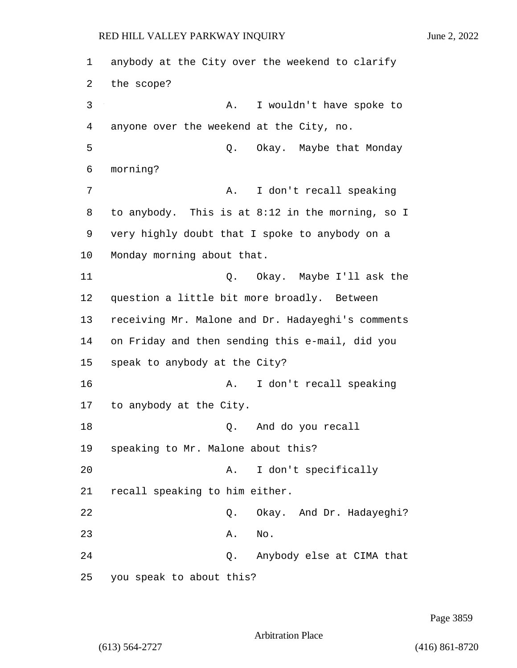1 anybody at the City over the weekend to clarify 2 the scope? 3 A. I wouldn't have spoke to 4 anyone over the weekend at the City, no. 5 Q. Okay. Maybe that Monday 6 morning? 7 A. I don't recall speaking 8 to anybody. This is at 8:12 in the morning, so I 9 very highly doubt that I spoke to anybody on a 10 Monday morning about that. 11 Q. Okay. Maybe I'll ask the 12 question a little bit more broadly. Between 13 receiving Mr. Malone and Dr. Hadayeghi's comments 14 on Friday and then sending this e-mail, did you 15 speak to anybody at the City? 16 **A.** I don't recall speaking 17 to anybody at the City. 18 Q. And do you recall 19 speaking to Mr. Malone about this? 20 A. I don't specifically 21 recall speaking to him either. 22 Q. Okay. And Dr. Hadayeghi? 23 A. No. 24 Q. Anybody else at CIMA that 25 you speak to about this?

Page 3859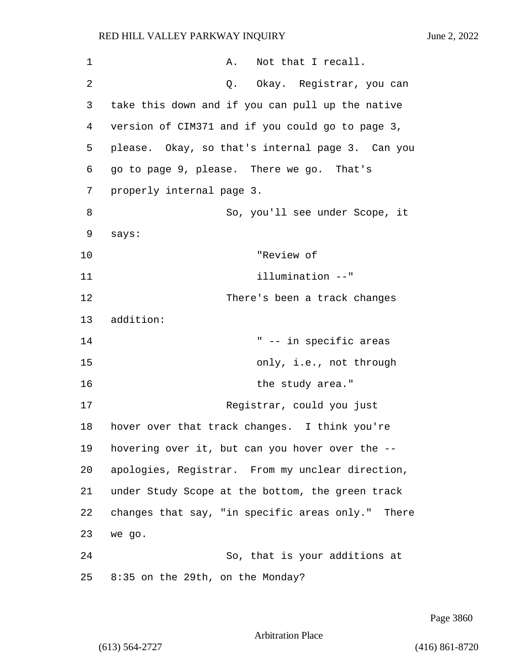| $\mathbf 1$ | Not that I recall.<br>A.                          |
|-------------|---------------------------------------------------|
| 2           | Q. Okay. Registrar, you can                       |
| 3           | take this down and if you can pull up the native  |
| 4           | version of CIM371 and if you could go to page 3,  |
| 5           | please. Okay, so that's internal page 3. Can you  |
| 6           | go to page 9, please. There we go. That's         |
| 7           | properly internal page 3.                         |
| 8           | So, you'll see under Scope, it                    |
| 9           | says:                                             |
| 10          | "Review of                                        |
| 11          | illumination --"                                  |
| 12          | There's been a track changes                      |
| 13          | addition:                                         |
| 14          | " -- in specific areas                            |
| 15          | only, i.e., not through                           |
| 16          | the study area."                                  |
| 17          | Registrar, could you just                         |
| 18          | hover over that track changes. I think you're     |
| 19          | hovering over it, but can you hover over the --   |
| 20          | apologies, Registrar. From my unclear direction,  |
| 21          | under Study Scope at the bottom, the green track  |
| 22          | changes that say, "in specific areas only." There |
| 23          | we go.                                            |
| 24          | So, that is your additions at                     |
| 25          | 8:35 on the 29th, on the Monday?                  |

Page 3860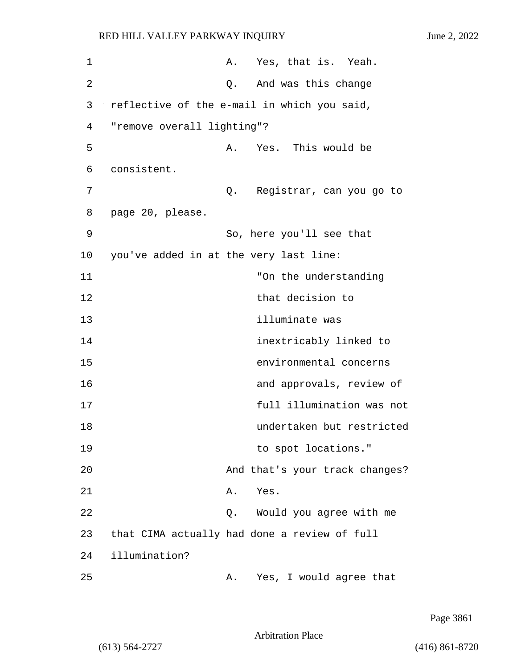| 1  |                                             | A. | Yes, that is. Yeah.                          |
|----|---------------------------------------------|----|----------------------------------------------|
| 2  |                                             | Q. | And was this change                          |
| 3  | reflective of the e-mail in which you said, |    |                                              |
| 4  | "remove overall lighting"?                  |    |                                              |
| 5  |                                             | Α. | Yes. This would be                           |
| 6  | consistent.                                 |    |                                              |
| 7  |                                             | Q. | Registrar, can you go to                     |
| 8  | page 20, please.                            |    |                                              |
| 9  |                                             |    | So, here you'll see that                     |
| 10 | you've added in at the very last line:      |    |                                              |
| 11 |                                             |    | "On the understanding                        |
| 12 |                                             |    | that decision to                             |
| 13 |                                             |    | illuminate was                               |
| 14 |                                             |    | inextricably linked to                       |
| 15 |                                             |    | environmental concerns                       |
| 16 |                                             |    | and approvals, review of                     |
| 17 |                                             |    | full illumination was not                    |
| 18 |                                             |    | undertaken but restricted                    |
| 19 |                                             |    | to spot locations."                          |
| 20 |                                             |    | And that's your track changes?               |
| 21 |                                             | Α. | Yes.                                         |
| 22 |                                             | Q. | Would you agree with me                      |
| 23 |                                             |    | that CIMA actually had done a review of full |
| 24 | illumination?                               |    |                                              |
| 25 |                                             | Α. | Yes, I would agree that                      |

Page 3861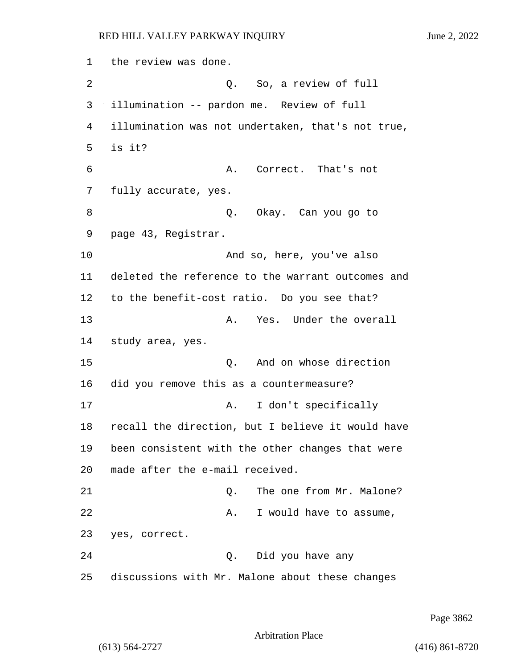1 the review was done. 2 Q. So, a review of full 3 illumination -- pardon me. Review of full 4 illumination was not undertaken, that's not true, 5 is it? 6 A. Correct. That's not 7 fully accurate, yes. 8 Q. Okay. Can you go to 9 page 43, Registrar. 10 And so, here, you've also 11 deleted the reference to the warrant outcomes and 12 to the benefit-cost ratio. Do you see that? 13 A. Yes. Under the overall 14 study area, yes. 15 C. And on whose direction 16 did you remove this as a countermeasure? 17 **A.** I don't specifically 18 recall the direction, but I believe it would have 19 been consistent with the other changes that were 20 made after the e-mail received. 21 C. The one from Mr. Malone? 22 A. I would have to assume, 23 yes, correct. 24 Q. Did you have any 25 discussions with Mr. Malone about these changes

Page 3862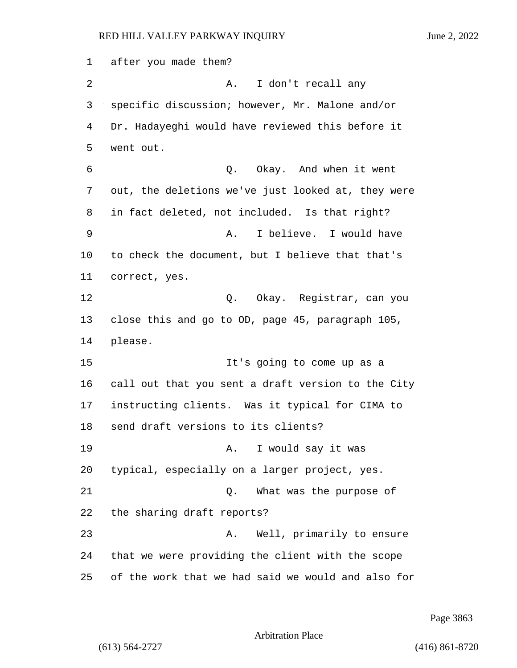after you made them? 2 A. I don't recall any specific discussion; however, Mr. Malone and/or Dr. Hadayeghi would have reviewed this before it went out. 6 Q. Okay. And when it went out, the deletions we've just looked at, they were in fact deleted, not included. Is that right? 9 A. I believe. I would have to check the document, but I believe that that's correct, yes. 12 Q. Okay. Registrar, can you close this and go to OD, page 45, paragraph 105, 14 please. 15 It's going to come up as a call out that you sent a draft version to the City instructing clients. Was it typical for CIMA to send draft versions to its clients? 19 A. I would say it was typical, especially on a larger project, yes. 21 Q. What was the purpose of the sharing draft reports? 23 A. Well, primarily to ensure that we were providing the client with the scope of the work that we had said we would and also for

Page 3863

```
Arbitration Place
```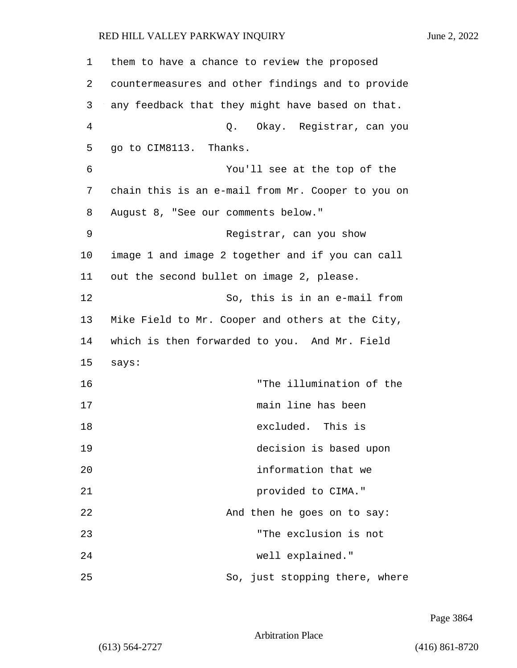| 1  | them to have a chance to review the proposed      |
|----|---------------------------------------------------|
| 2  | countermeasures and other findings and to provide |
| 3  | any feedback that they might have based on that.  |
| 4  | Q. Okay. Registrar, can you                       |
| 5  | go to CIM8113. Thanks.                            |
| 6  | You'll see at the top of the                      |
| 7  | chain this is an e-mail from Mr. Cooper to you on |
| 8  | August 8, "See our comments below."               |
| 9  | Registrar, can you show                           |
| 10 | image 1 and image 2 together and if you can call  |
| 11 | out the second bullet on image 2, please.         |
| 12 | So, this is in an e-mail from                     |
| 13 | Mike Field to Mr. Cooper and others at the City,  |
| 14 | which is then forwarded to you. And Mr. Field     |
| 15 | says:                                             |
| 16 | "The illumination of the                          |
| 17 | main line has been                                |
| 18 | excluded. This is                                 |
| 19 | decision is based upon                            |
| 20 | information that we                               |
| 21 | provided to CIMA."                                |
| 22 | And then he goes on to say:                       |
| 23 | "The exclusion is not                             |
| 24 | well explained."                                  |
| 25 | So, just stopping there, where                    |

Page 3864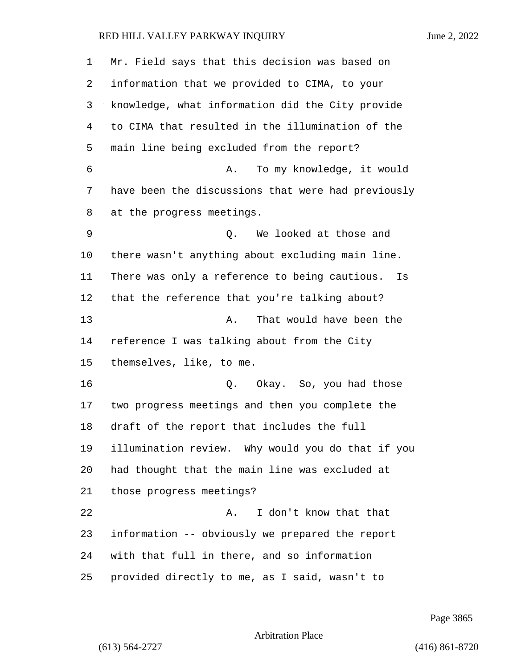| 1  | Mr. Field says that this decision was based on      |
|----|-----------------------------------------------------|
| 2  | information that we provided to CIMA, to your       |
| 3  | knowledge, what information did the City provide    |
| 4  | to CIMA that resulted in the illumination of the    |
| 5  | main line being excluded from the report?           |
| 6  | To my knowledge, it would<br>Α.                     |
| 7  | have been the discussions that were had previously  |
| 8  | at the progress meetings.                           |
| 9  | We looked at those and<br>Q.                        |
| 10 | there wasn't anything about excluding main line.    |
| 11 | There was only a reference to being cautious.<br>Is |
| 12 | that the reference that you're talking about?       |
| 13 | That would have been the<br>Α.                      |
| 14 | reference I was talking about from the City         |
| 15 | themselves, like, to me.                            |
| 16 | Okay. So, you had those<br>Q.                       |
| 17 | two progress meetings and then you complete the     |
| 18 | draft of the report that includes the full          |
| 19 | illumination review. Why would you do that if you   |
| 20 | had thought that the main line was excluded at      |
| 21 | those progress meetings?                            |
| 22 | I don't know that that<br>Α.                        |
| 23 | information -- obviously we prepared the report     |
| 24 | with that full in there, and so information         |
| 25 | provided directly to me, as I said, wasn't to       |

Page 3865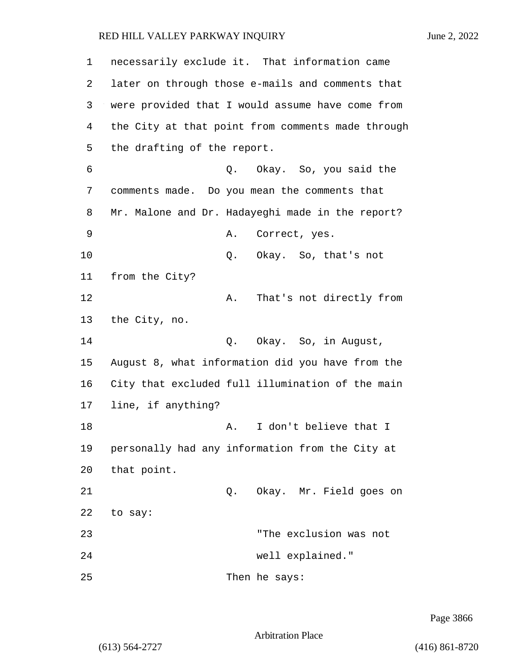1 necessarily exclude it. That information came 2 later on through those e-mails and comments that 3 were provided that I would assume have come from 4 the City at that point from comments made through 5 the drafting of the report. 6 Q. Okay. So, you said the 7 comments made. Do you mean the comments that 8 Mr. Malone and Dr. Hadayeghi made in the report? 9 A. Correct, yes. 10 Q. Okay. So, that's not 11 from the City? 12 A. That's not directly from 13 the City, no. 14 Q. Okay. So, in August, 15 August 8, what information did you have from the 16 City that excluded full illumination of the main 17 line, if anything? 18 A. I don't believe that I 19 personally had any information from the City at 20 that point. 21 Q. Okay. Mr. Field goes on 22 to say: 23 "The exclusion was not 24 well explained." 25 Then he says:

Page 3866

Arbitration Place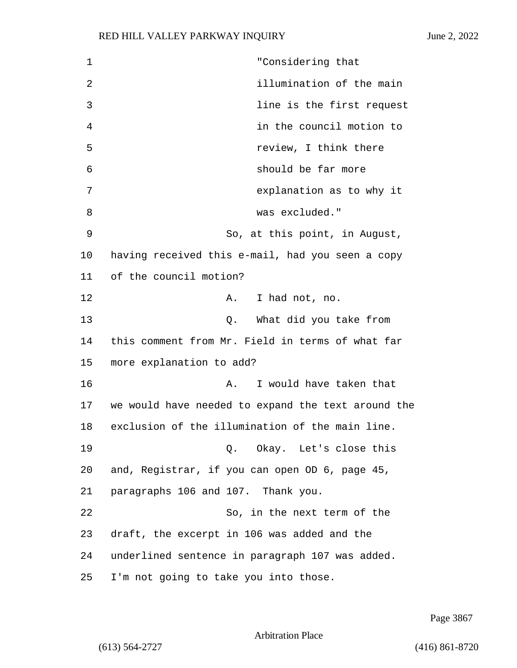1 "Considering that 2 illumination of the main 3 line is the first request 4 in the council motion to 5 review, I think there 6 should be far more 7 explanation as to why it 8 was excluded." 9 So, at this point, in August, 10 having received this e-mail, had you seen a copy 11 of the council motion? 12 A. I had not, no. 13 Q. What did you take from 14 this comment from Mr. Field in terms of what far 15 more explanation to add? 16 A. I would have taken that 17 we would have needed to expand the text around the 18 exclusion of the illumination of the main line. 19 Q. Okay. Let's close this 20 and, Registrar, if you can open OD 6, page 45, 21 paragraphs 106 and 107. Thank you. 22 So, in the next term of the 23 draft, the excerpt in 106 was added and the 24 underlined sentence in paragraph 107 was added. 25 I'm not going to take you into those.

Page 3867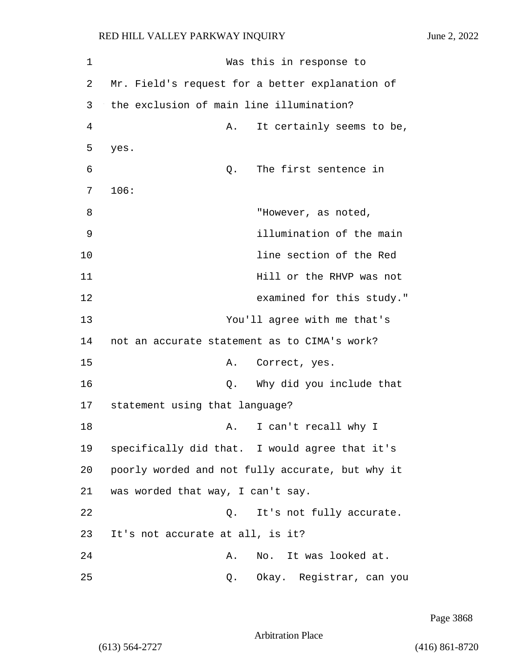1 Was this in response to 2 Mr. Field's request for a better explanation of 3 the exclusion of main line illumination? 4 A. It certainly seems to be, 5 yes. 6 Q. The first sentence in 7 106: 8 "However, as noted, 9 illumination of the main 10 line section of the Red 11 **hill** or the RHVP was not 12 examined for this study." 13 You'll agree with me that's 14 not an accurate statement as to CIMA's work? 15 A. Correct, yes. 16 Q. Why did you include that 17 statement using that language? 18 A. I can't recall why I 19 specifically did that. I would agree that it's 20 poorly worded and not fully accurate, but why it 21 was worded that way, I can't say. 22 Q. It's not fully accurate. 23 It's not accurate at all, is it? 24 A. No. It was looked at. 25 Q. Okay. Registrar, can you

Page 3868

Arbitration Place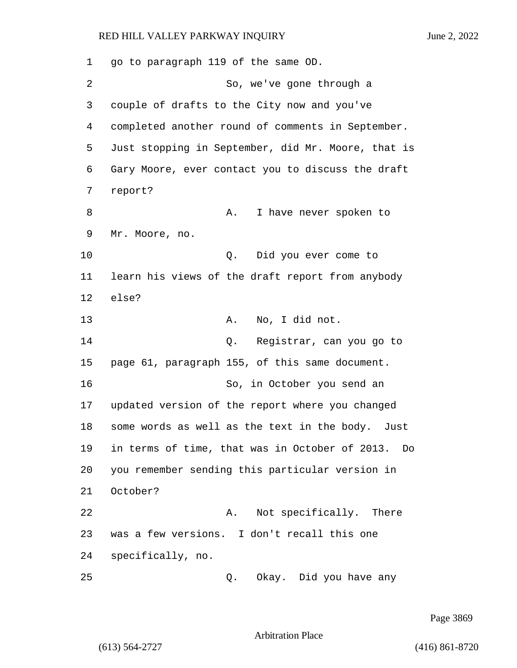1 go to paragraph 119 of the same OD. 2 So, we've gone through a 3 couple of drafts to the City now and you've 4 completed another round of comments in September. 5 Just stopping in September, did Mr. Moore, that is 6 Gary Moore, ever contact you to discuss the draft 7 report? 8 A. I have never spoken to 9 Mr. Moore, no. 10 Q. Did you ever come to 11 learn his views of the draft report from anybody 12 else? 13 A. No, I did not. 14 Q. Registrar, can you go to 15 page 61, paragraph 155, of this same document. 16 So, in October you send an 17 updated version of the report where you changed 18 some words as well as the text in the body. Just 19 in terms of time, that was in October of 2013. Do 20 you remember sending this particular version in 21 October? 22 A. Not specifically. There 23 was a few versions. I don't recall this one 24 specifically, no. 25 Q. Okay. Did you have any

Page 3869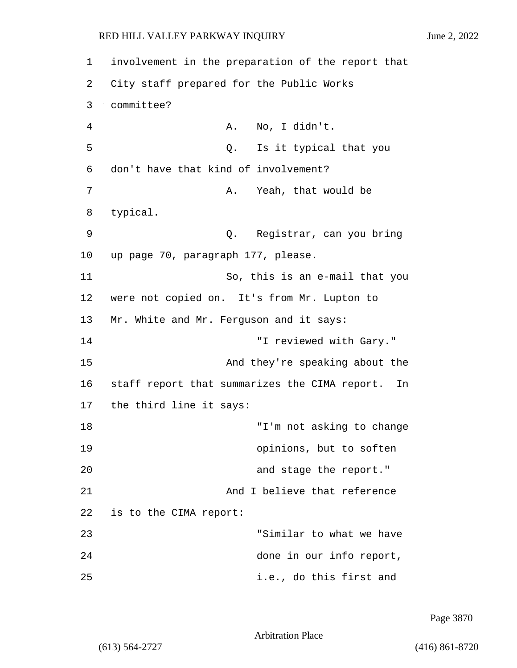1 involvement in the preparation of the report that 2 City staff prepared for the Public Works 3 committee? 4 A. No, I didn't. 5 Q. Is it typical that you 6 don't have that kind of involvement? 7 A. Yeah, that would be 8 typical. 9 Q. Registrar, can you bring 10 up page 70, paragraph 177, please. 11 So, this is an e-mail that you 12 were not copied on. It's from Mr. Lupton to 13 Mr. White and Mr. Ferguson and it says: 14 "I reviewed with Gary." 15 And they're speaking about the 16 staff report that summarizes the CIMA report. In 17 the third line it says: 18 "I'm not asking to change 19 opinions, but to soften 20 **and stage the report.**" 21 And I believe that reference 22 is to the CIMA report: 23 "Similar to what we have 24 done in our info report, 25 i.e., do this first and

Page 3870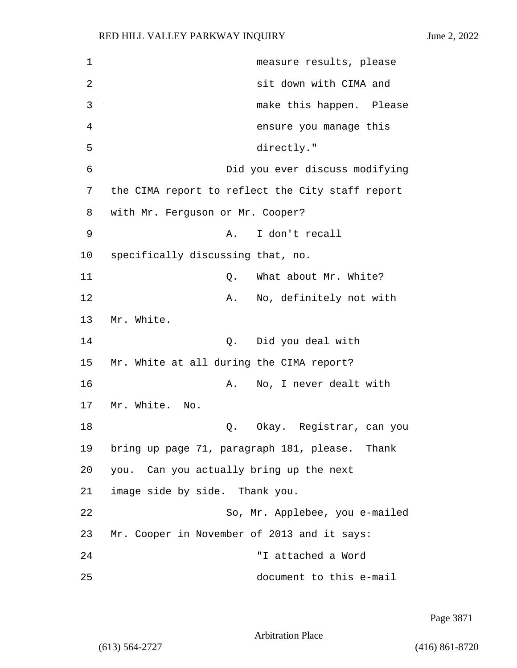| 1  | measure results, please                          |
|----|--------------------------------------------------|
| 2  | sit down with CIMA and                           |
| 3  | make this happen. Please                         |
| 4  | ensure you manage this                           |
| 5  | directly."                                       |
| 6  | Did you ever discuss modifying                   |
| 7  | the CIMA report to reflect the City staff report |
| 8  | with Mr. Ferguson or Mr. Cooper?                 |
| 9  | I don't recall<br>Α.                             |
| 10 | specifically discussing that, no.                |
| 11 | What about Mr. White?<br>Q.                      |
| 12 | No, definitely not with<br>Α.                    |
| 13 | Mr. White.                                       |
| 14 | Did you deal with<br>Q.                          |
| 15 | Mr. White at all during the CIMA report?         |
| 16 | No, I never dealt with<br>Α.                     |
| 17 | Mr. White.<br>No.                                |
| 18 | Okay. Registrar, can you<br>Q.                   |
| 19 | bring up page 71, paragraph 181, please. Thank   |
| 20 | you. Can you actually bring up the next          |
| 21 | image side by side. Thank you.                   |
| 22 | So, Mr. Applebee, you e-mailed                   |
| 23 | Mr. Cooper in November of 2013 and it says:      |
| 24 | "I attached a Word                               |
| 25 | document to this e-mail                          |

Page 3871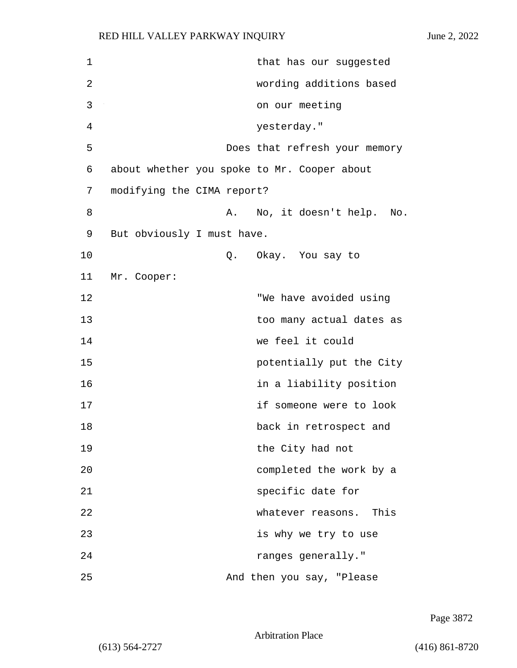| 1  |                                             | that has our suggested        |
|----|---------------------------------------------|-------------------------------|
| 2  |                                             | wording additions based       |
| 3  |                                             | on our meeting                |
| 4  |                                             | yesterday."                   |
| 5  |                                             | Does that refresh your memory |
| 6  | about whether you spoke to Mr. Cooper about |                               |
| 7  | modifying the CIMA report?                  |                               |
| 8  | A.                                          | No, it doesn't help.<br>No.   |
| 9  | But obviously I must have.                  |                               |
| 10 |                                             | Q. Okay. You say to           |
| 11 | Mr. Cooper:                                 |                               |
| 12 |                                             | "We have avoided using        |
| 13 |                                             | too many actual dates as      |
| 14 |                                             | we feel it could              |
| 15 |                                             | potentially put the City      |
| 16 |                                             | in a liability position       |
| 17 |                                             | if someone were to look       |
| 18 |                                             | back in retrospect and        |
| 19 |                                             | the City had not              |
| 20 |                                             | completed the work by a       |
| 21 |                                             | specific date for             |
| 22 |                                             | whatever reasons.<br>This     |
| 23 |                                             | is why we try to use          |
| 24 |                                             | ranges generally."            |
| 25 |                                             | And then you say, "Please     |

Page 3872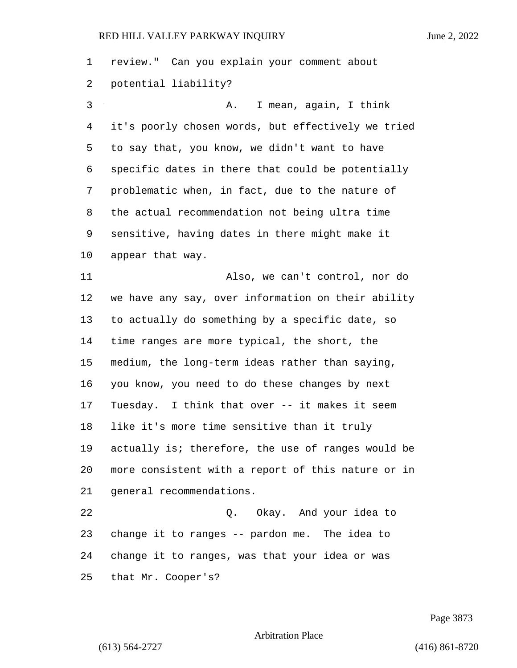review." Can you explain your comment about potential liability? 3 A. I mean, again, I think it's poorly chosen words, but effectively we tried to say that, you know, we didn't want to have specific dates in there that could be potentially problematic when, in fact, due to the nature of the actual recommendation not being ultra time sensitive, having dates in there might make it appear that way. 11 Also, we can't control, nor do we have any say, over information on their ability to actually do something by a specific date, so time ranges are more typical, the short, the medium, the long-term ideas rather than saying, you know, you need to do these changes by next Tuesday. I think that over -- it makes it seem like it's more time sensitive than it truly actually is; therefore, the use of ranges would be more consistent with a report of this nature or in general recommendations. 22 Q. Okay. And your idea to change it to ranges -- pardon me. The idea to change it to ranges, was that your idea or was that Mr. Cooper's?

Page 3873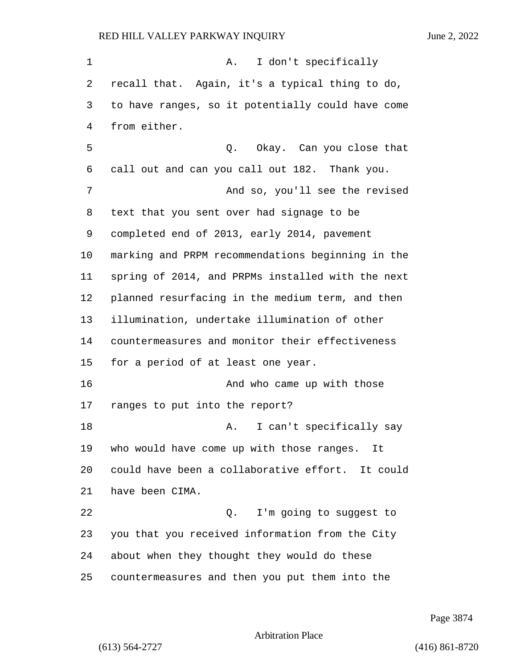1 A. I don't specifically recall that. Again, it's a typical thing to do, to have ranges, so it potentially could have come from either. 5 Q. Okay. Can you close that call out and can you call out 182. Thank you. 7 And so, you'll see the revised text that you sent over had signage to be completed end of 2013, early 2014, pavement marking and PRPM recommendations beginning in the spring of 2014, and PRPMs installed with the next planned resurfacing in the medium term, and then illumination, undertake illumination of other countermeasures and monitor their effectiveness for a period of at least one year. 16 And who came up with those ranges to put into the report? 18 A. I can't specifically say who would have come up with those ranges. It could have been a collaborative effort. It could have been CIMA. 22 and 2. I'm going to suggest to you that you received information from the City about when they thought they would do these countermeasures and then you put them into the

Page 3874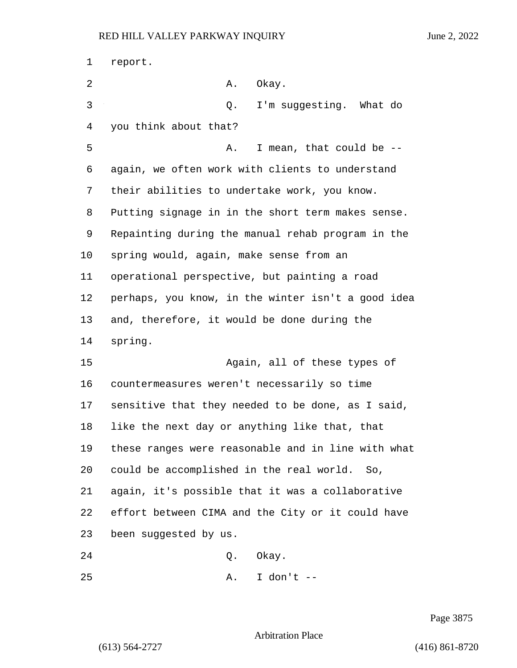| 1  | report.                                            |
|----|----------------------------------------------------|
| 2  | Okay.<br>Α.                                        |
| 3  | I'm suggesting. What do<br>Q.                      |
| 4  | you think about that?                              |
| 5  | I mean, that could be --<br>Α.                     |
| 6  | again, we often work with clients to understand    |
| 7  | their abilities to undertake work, you know.       |
| 8  | Putting signage in in the short term makes sense.  |
| 9  | Repainting during the manual rehab program in the  |
| 10 | spring would, again, make sense from an            |
| 11 | operational perspective, but painting a road       |
| 12 | perhaps, you know, in the winter isn't a good idea |
| 13 | and, therefore, it would be done during the        |
| 14 | spring.                                            |
| 15 | Again, all of these types of                       |
| 16 | countermeasures weren't necessarily so time        |
| 17 | sensitive that they needed to be done, as I said,  |
| 18 | like the next day or anything like that, that      |
| 19 | these ranges were reasonable and in line with what |
| 20 | could be accomplished in the real world.<br>So,    |
| 21 | again, it's possible that it was a collaborative   |
| 22 | effort between CIMA and the City or it could have  |
| 23 | been suggested by us.                              |
| 24 | Okay.<br>Q.                                        |

25 A. I don't --

Page 3875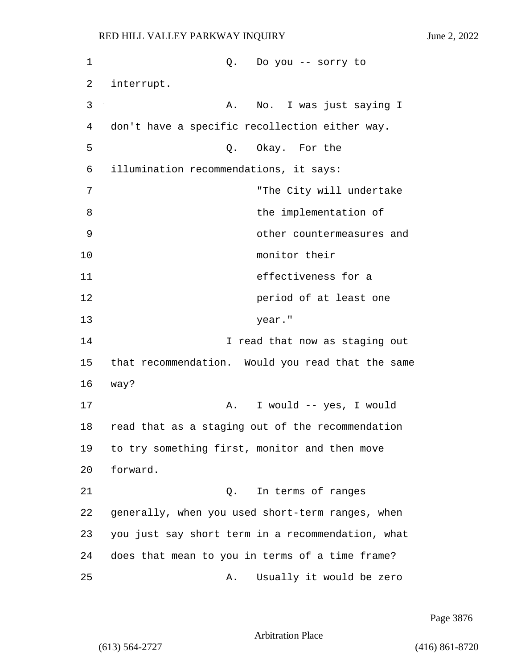1 Q. Do you -- sorry to 2 interrupt. 3 A. No. I was just saying I 4 don't have a specific recollection either way. 5 Q. Okay. For the 6 illumination recommendations, it says: 7 "The City will undertake 8 begins the implementation of 9 other countermeasures and 10 monitor their 11 effectiveness for a 12 **period of at least one** 13 year." 14 **I** read that now as staging out 15 that recommendation. Would you read that the same 16 way? 17 A. I would -- yes, I would 18 read that as a staging out of the recommendation 19 to try something first, monitor and then move 20 forward. 21 Q. In terms of ranges 22 generally, when you used short-term ranges, when 23 you just say short term in a recommendation, what 24 does that mean to you in terms of a time frame? 25 A. Usually it would be zero

Page 3876

Arbitration Place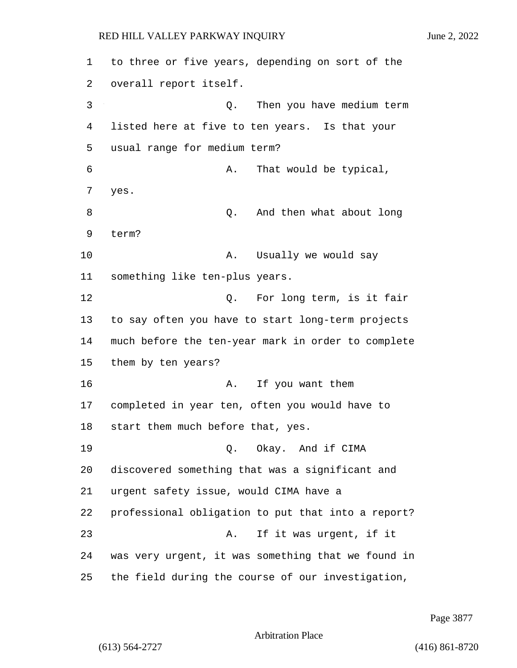1 to three or five years, depending on sort of the 2 overall report itself. 3 Q. Then you have medium term 4 listed here at five to ten years. Is that your 5 usual range for medium term? 6 A. That would be typical, 7 yes. 8 Q. And then what about long 9 term? 10 A. Usually we would say 11 something like ten-plus years. 12 C. For long term, is it fair 13 to say often you have to start long-term projects 14 much before the ten-year mark in order to complete 15 them by ten years? 16 A. If you want them 17 completed in year ten, often you would have to 18 start them much before that, yes. 19 Q. Okay. And if CIMA 20 discovered something that was a significant and 21 urgent safety issue, would CIMA have a 22 professional obligation to put that into a report? 23 A. If it was urgent, if it 24 was very urgent, it was something that we found in 25 the field during the course of our investigation,

Page 3877

Arbitration Place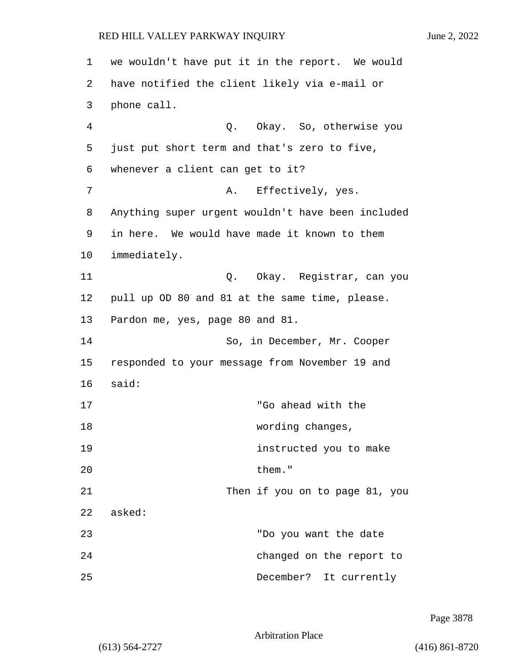1 we wouldn't have put it in the report. We would 2 have notified the client likely via e-mail or 3 phone call. 4 Q. Okay. So, otherwise you 5 just put short term and that's zero to five, 6 whenever a client can get to it? 7 A. Effectively, yes. 8 Anything super urgent wouldn't have been included 9 in here. We would have made it known to them 10 immediately. 11 Q. Okay. Registrar, can you 12 pull up OD 80 and 81 at the same time, please. 13 Pardon me, yes, page 80 and 81. 14 So, in December, Mr. Cooper 15 responded to your message from November 19 and 16 said: 17 "Go ahead with the 18 wording changes, 19 instructed you to make 20 them." 21 Then if you on to page 81, you 22 asked: 23 "Do you want the date 24 changed on the report to 25 December? It currently

Page 3878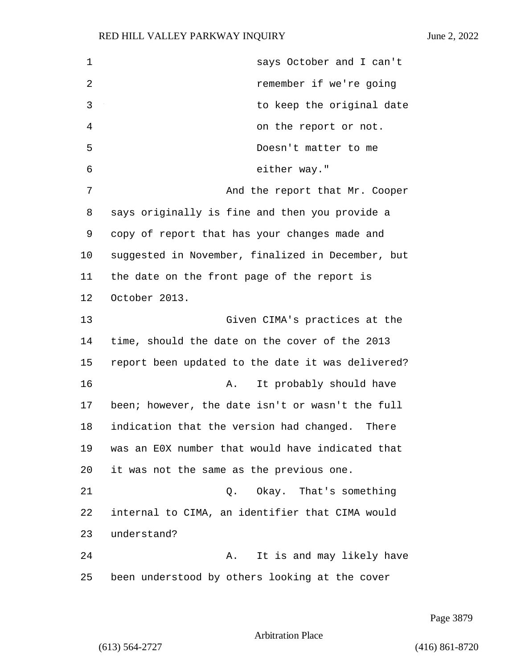1 says October and I can't 2 remember if we're going 3 to keep the original date 4 on the report or not. 5 Doesn't matter to me 6 either way." 7 And the report that Mr. Cooper 8 says originally is fine and then you provide a 9 copy of report that has your changes made and 10 suggested in November, finalized in December, but 11 the date on the front page of the report is 12 October 2013. 13 Given CIMA's practices at the 14 time, should the date on the cover of the 2013 15 report been updated to the date it was delivered? 16 A. It probably should have 17 been; however, the date isn't or wasn't the full 18 indication that the version had changed. There 19 was an E0X number that would have indicated that 20 it was not the same as the previous one. 21 Q. Okay. That's something 22 internal to CIMA, an identifier that CIMA would 23 understand? 24 A. It is and may likely have 25 been understood by others looking at the cover

Page 3879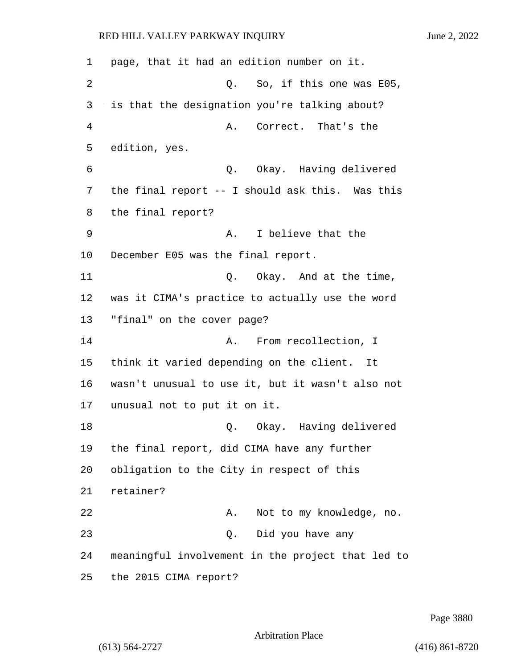page, that it had an edition number on it. 2 Q. So, if this one was E05, is that the designation you're talking about? 4 A. Correct. That's the edition, yes. 6 Q. Okay. Having delivered the final report -- I should ask this. Was this the final report? 9 A. I believe that the December E05 was the final report. 11 Q. Okay. And at the time, was it CIMA's practice to actually use the word "final" on the cover page? **A.** From recollection, I think it varied depending on the client. It wasn't unusual to use it, but it wasn't also not unusual not to put it on it. 18 Q. Okay. Having delivered the final report, did CIMA have any further obligation to the City in respect of this retainer? 22 A. Not to my knowledge, no. 23 Q. Did you have any meaningful involvement in the project that led to the 2015 CIMA report?

Page 3880

Arbitration Place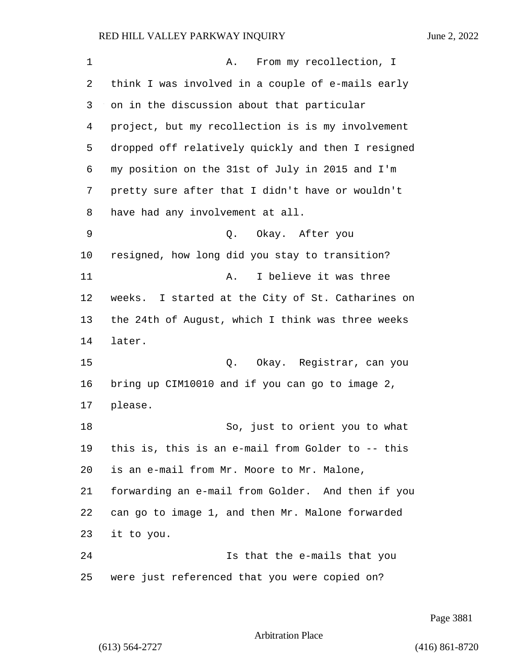1 A. From my recollection, I think I was involved in a couple of e-mails early on in the discussion about that particular project, but my recollection is is my involvement dropped off relatively quickly and then I resigned my position on the 31st of July in 2015 and I'm pretty sure after that I didn't have or wouldn't have had any involvement at all. 9 Q. Okay. After you resigned, how long did you stay to transition? 11 A. I believe it was three weeks. I started at the City of St. Catharines on the 24th of August, which I think was three weeks later. 15 Q. Okay. Registrar, can you bring up CIM10010 and if you can go to image 2, please. 18 So, just to orient you to what this is, this is an e-mail from Golder to -- this is an e-mail from Mr. Moore to Mr. Malone, forwarding an e-mail from Golder. And then if you can go to image 1, and then Mr. Malone forwarded it to you. 24 Is that the e-mails that you were just referenced that you were copied on?

Page 3881

Arbitration Place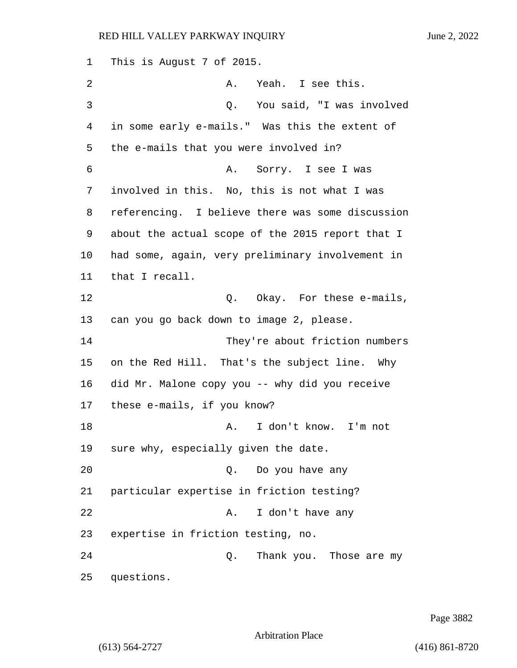This is August 7 of 2015. 2 A. Yeah. I see this. 3 Q. You said, "I was involved in some early e-mails." Was this the extent of the e-mails that you were involved in? 6 A. Sorry. I see I was involved in this. No, this is not what I was referencing. I believe there was some discussion about the actual scope of the 2015 report that I had some, again, very preliminary involvement in that I recall. 12 C. Okay. For these e-mails, can you go back down to image 2, please. 14 They're about friction numbers on the Red Hill. That's the subject line. Why did Mr. Malone copy you -- why did you receive these e-mails, if you know? 18 A. I don't know. I'm not sure why, especially given the date. 20 Q. Do you have any particular expertise in friction testing? 22 A. I don't have any expertise in friction testing, no. 24 Q. Thank you. Those are my questions.

Page 3882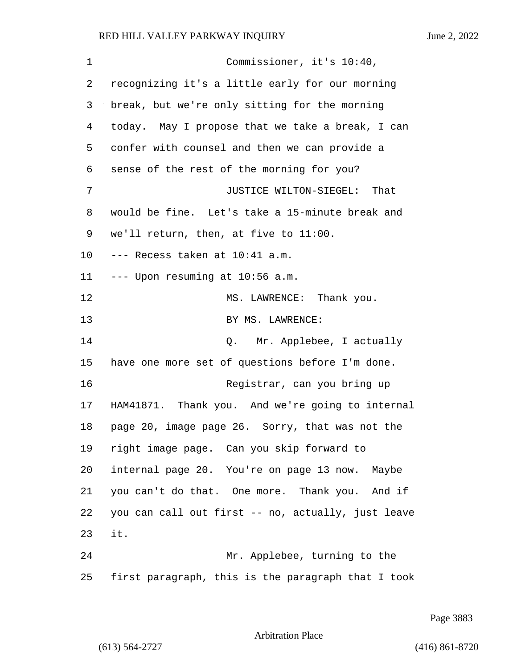1 Commissioner, it's 10:40, recognizing it's a little early for our morning break, but we're only sitting for the morning today. May I propose that we take a break, I can confer with counsel and then we can provide a sense of the rest of the morning for you? 7 JUSTICE WILTON-SIEGEL: That would be fine. Let's take a 15-minute break and we'll return, then, at five to 11:00. --- Recess taken at 10:41 a.m. --- Upon resuming at 10:56 a.m. 12 MS. LAWRENCE: Thank you. 13 BY MS. LAWRENCE: 14 Q. Mr. Applebee, I actually have one more set of questions before I'm done. 16 Registrar, can you bring up HAM41871. Thank you. And we're going to internal page 20, image page 26. Sorry, that was not the right image page. Can you skip forward to internal page 20. You're on page 13 now. Maybe you can't do that. One more. Thank you. And if you can call out first -- no, actually, just leave it. 24 Mr. Applebee, turning to the first paragraph, this is the paragraph that I took

Page 3883

# Arbitration Place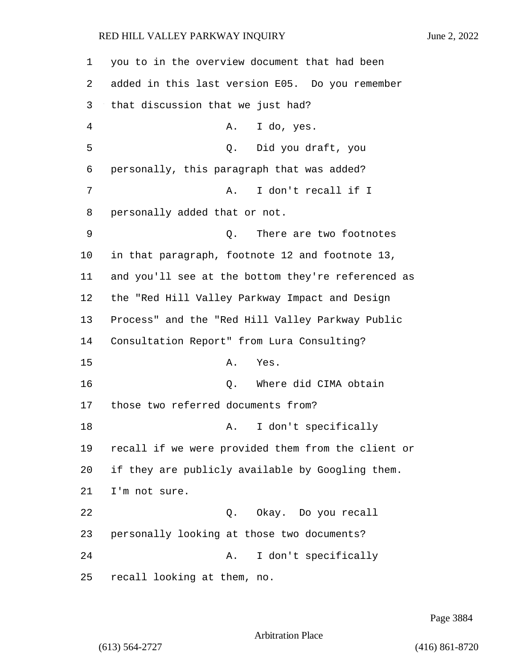you to in the overview document that had been added in this last version E05. Do you remember that discussion that we just had? 4 A. I do, yes. 5 Q. Did you draft, you personally, this paragraph that was added? 7 A. I don't recall if I personally added that or not. 9 Q. There are two footnotes in that paragraph, footnote 12 and footnote 13, and you'll see at the bottom they're referenced as the "Red Hill Valley Parkway Impact and Design Process" and the "Red Hill Valley Parkway Public Consultation Report" from Lura Consulting? 15 A. Yes. **D.** Where did CIMA obtain those two referred documents from? 18 A. I don't specifically recall if we were provided them from the client or if they are publicly available by Googling them. I'm not sure. 22 Q. Okay. Do you recall personally looking at those two documents? 24 A. I don't specifically recall looking at them, no.

Page 3884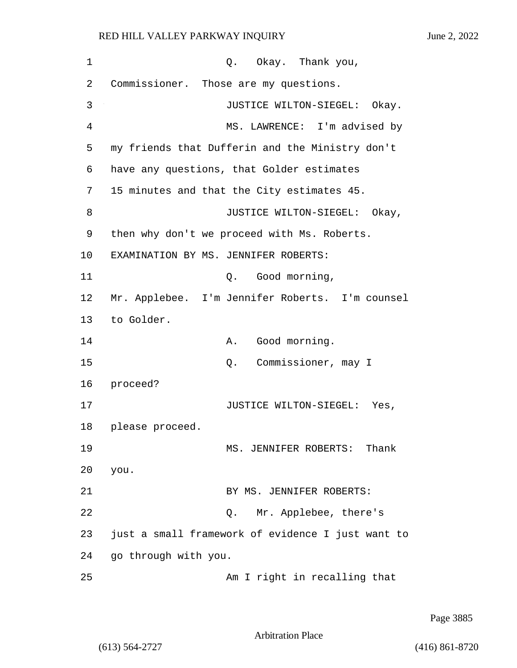| 1  | Q. Okay. Thank you,                               |
|----|---------------------------------------------------|
| 2  | Commissioner. Those are my questions.             |
| 3  | JUSTICE WILTON-SIEGEL: Okay.                      |
| 4  | MS. LAWRENCE: I'm advised by                      |
| 5  | my friends that Dufferin and the Ministry don't   |
| 6  | have any questions, that Golder estimates         |
| 7  | 15 minutes and that the City estimates 45.        |
| 8  | JUSTICE WILTON-SIEGEL: Okay,                      |
| 9  | then why don't we proceed with Ms. Roberts.       |
| 10 | EXAMINATION BY MS. JENNIFER ROBERTS:              |
| 11 | Q. Good morning,                                  |
| 12 | Mr. Applebee. I'm Jennifer Roberts. I'm counsel   |
| 13 | to Golder.                                        |
| 14 | Good morning.<br>Α.                               |
| 15 | Commissioner, may I<br>Q.                         |
| 16 | proceed?                                          |
| 17 | JUSTICE WILTON-SIEGEL: Yes,                       |
| 18 | please proceed.                                   |
| 19 | MS. JENNIFER ROBERTS: Thank                       |
| 20 | you.                                              |
| 21 | BY MS. JENNIFER ROBERTS:                          |
| 22 | Q. Mr. Applebee, there's                          |
| 23 | just a small framework of evidence I just want to |
| 24 | go through with you.                              |
| 25 | Am I right in recalling that                      |

Page 3885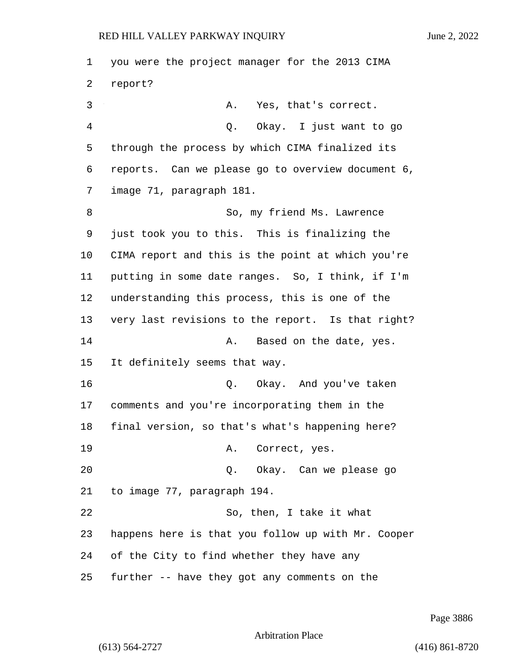you were the project manager for the 2013 CIMA 2 report? 3 A. Yes, that's correct. 4 Q. Okay. I just want to go through the process by which CIMA finalized its reports. Can we please go to overview document 6, image 71, paragraph 181. 8 So, my friend Ms. Lawrence just took you to this. This is finalizing the CIMA report and this is the point at which you're putting in some date ranges. So, I think, if I'm understanding this process, this is one of the very last revisions to the report. Is that right? 14 A. Based on the date, yes. It definitely seems that way. 16 Q. Okay. And you've taken comments and you're incorporating them in the final version, so that's what's happening here? 19 A. Correct, yes. 20 Q. Okay. Can we please go to image 77, paragraph 194. 22 So, then, I take it what happens here is that you follow up with Mr. Cooper of the City to find whether they have any further -- have they got any comments on the

Page 3886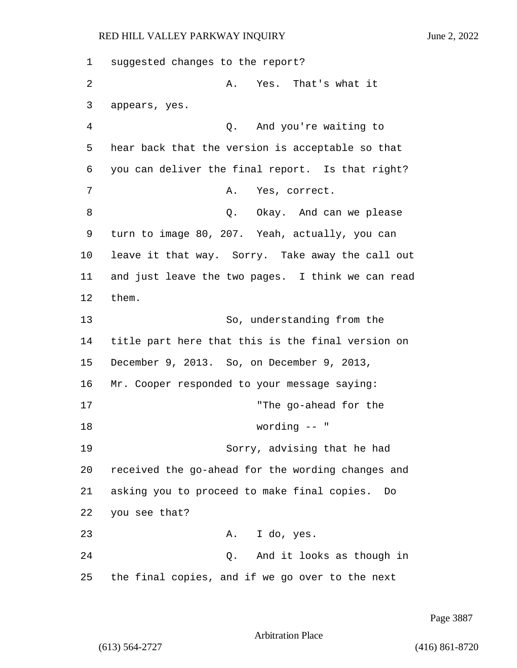1 suggested changes to the report? 2 A. Yes. That's what it 3 appears, yes. 4 Q. And you're waiting to 5 hear back that the version is acceptable so that 6 you can deliver the final report. Is that right? 7 A. Yes, correct. 8 and 2. Okay. And can we please 9 turn to image 80, 207. Yeah, actually, you can 10 leave it that way. Sorry. Take away the call out 11 and just leave the two pages. I think we can read 12 them. 13 So, understanding from the 14 title part here that this is the final version on 15 December 9, 2013. So, on December 9, 2013, 16 Mr. Cooper responded to your message saying: 17 "The go-ahead for the 18 wording -- " 19 Sorry, advising that he had 20 received the go-ahead for the wording changes and 21 asking you to proceed to make final copies. Do 22 you see that? 23 A. I do, yes. 24 Q. And it looks as though in 25 the final copies, and if we go over to the next

Page 3887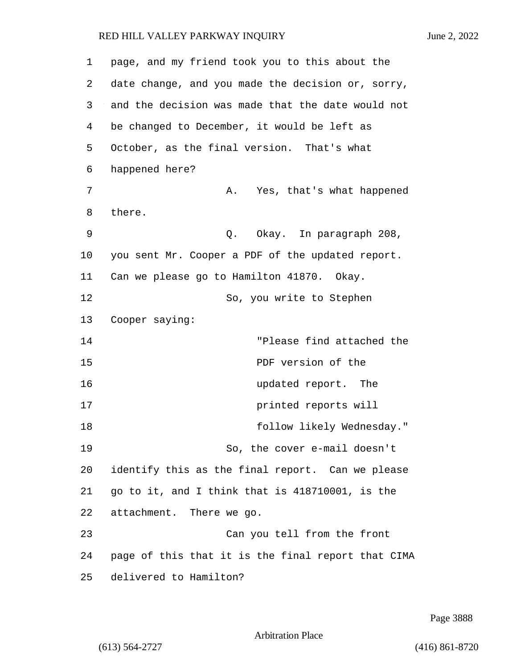| 1  | page, and my friend took you to this about the     |
|----|----------------------------------------------------|
| 2  | date change, and you made the decision or, sorry,  |
| 3  | and the decision was made that the date would not  |
| 4  | be changed to December, it would be left as        |
| 5  | October, as the final version. That's what         |
| 6  | happened here?                                     |
| 7  | Yes, that's what happened<br>Α.                    |
| 8  | there.                                             |
| 9  | Q. Okay. In paragraph 208,                         |
| 10 | you sent Mr. Cooper a PDF of the updated report.   |
| 11 | Can we please go to Hamilton 41870. Okay.          |
| 12 | So, you write to Stephen                           |
| 13 | Cooper saying:                                     |
| 14 | "Please find attached the                          |
| 15 | PDF version of the                                 |
| 16 | updated report. The                                |
| 17 | printed reports will                               |
| 18 | follow likely Wednesday."                          |
| 19 | So, the cover e-mail doesn't                       |
| 20 | identify this as the final report. Can we please   |
| 21 | go to it, and I think that is 418710001, is the    |
| 22 | attachment. There we go.                           |
| 23 | Can you tell from the front                        |
| 24 | page of this that it is the final report that CIMA |
| 25 | delivered to Hamilton?                             |

Page 3888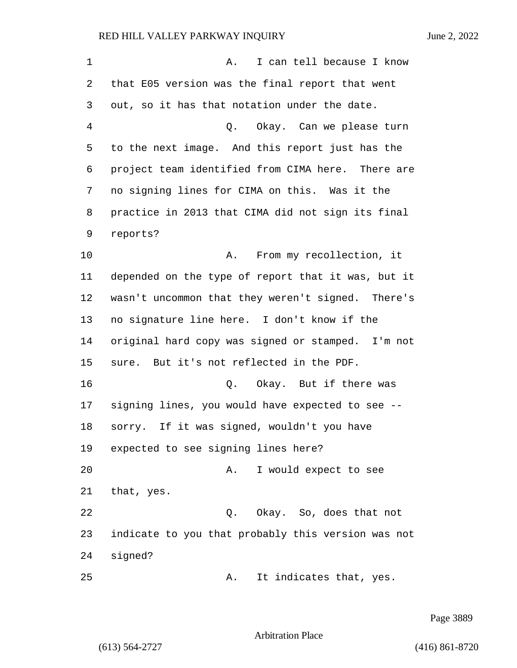1 A. I can tell because I know that E05 version was the final report that went out, so it has that notation under the date. 4 Q. Okay. Can we please turn to the next image. And this report just has the project team identified from CIMA here. There are no signing lines for CIMA on this. Was it the practice in 2013 that CIMA did not sign its final 10 A. From my recollection, it depended on the type of report that it was, but it wasn't uncommon that they weren't signed. There's no signature line here. I don't know if the original hard copy was signed or stamped. I'm not

sure. But it's not reflected in the PDF.

**16** O. Okay. But if there was signing lines, you would have expected to see -- sorry. If it was signed, wouldn't you have expected to see signing lines here?

20 A. I would expect to see that, yes.

22 Q. Okay. So, does that not indicate to you that probably this version was not signed?

25 A. It indicates that, yes.

Page 3889

Arbitration Place

reports?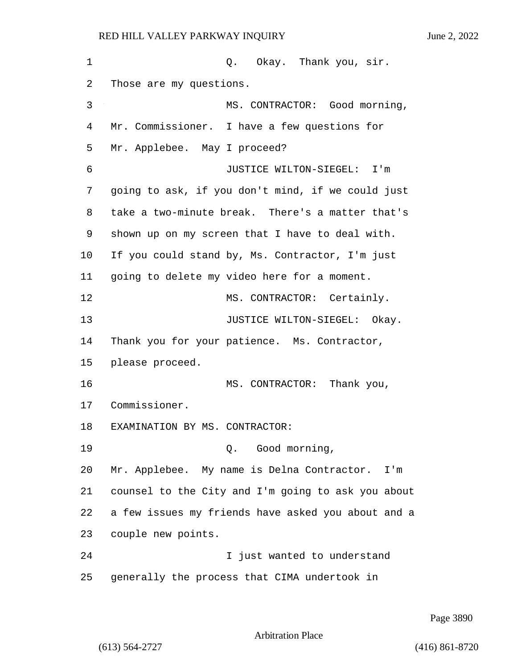1 Q. Okay. Thank you, sir. Those are my questions. 3 MS. CONTRACTOR: Good morning, Mr. Commissioner. I have a few questions for Mr. Applebee. May I proceed? 6 JUSTICE WILTON-SIEGEL: I'm going to ask, if you don't mind, if we could just take a two-minute break. There's a matter that's shown up on my screen that I have to deal with. If you could stand by, Ms. Contractor, I'm just going to delete my video here for a moment. 12 MS. CONTRACTOR: Certainly. 13 JUSTICE WILTON-SIEGEL: Okay. Thank you for your patience. Ms. Contractor, please proceed. 16 MS. CONTRACTOR: Thank you, Commissioner. EXAMINATION BY MS. CONTRACTOR: 19 Q. Good morning, Mr. Applebee. My name is Delna Contractor. I'm counsel to the City and I'm going to ask you about a few issues my friends have asked you about and a couple new points. 24 I just wanted to understand generally the process that CIMA undertook in

Page 3890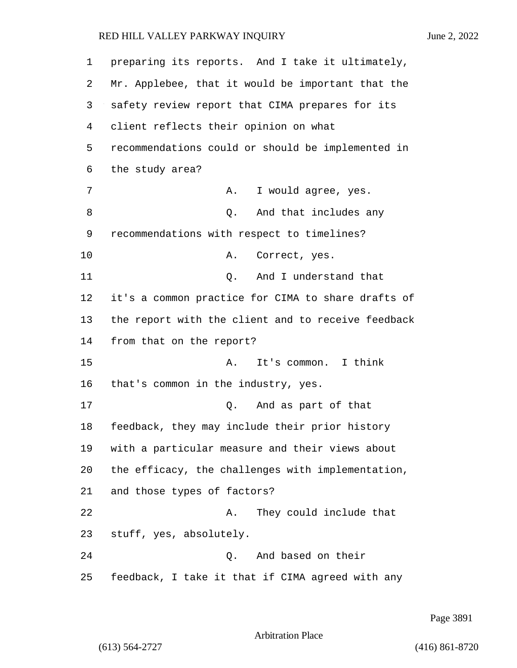| 1              | preparing its reports. And I take it ultimately,   |
|----------------|----------------------------------------------------|
| 2              | Mr. Applebee, that it would be important that the  |
| 3              | safety review report that CIMA prepares for its    |
| $\overline{4}$ | client reflects their opinion on what              |
| 5              | recommendations could or should be implemented in  |
| 6              | the study area?                                    |
| 7              | I would agree, yes.<br>Α.                          |
| 8              | And that includes any<br>Q.                        |
| 9              | recommendations with respect to timelines?         |
| 10             | Correct, yes.<br>Α.                                |
| 11             | And I understand that<br>Q.                        |
| 12             | it's a common practice for CIMA to share drafts of |
| 13             | the report with the client and to receive feedback |
| 14             | from that on the report?                           |
| 15             | It's common. I think<br>Α.                         |
| 16             | that's common in the industry, yes.                |
| 17             | And as part of that<br>Q.                          |
| 18             | feedback, they may include their prior history     |
| 19             | with a particular measure and their views about    |
| 20             | the efficacy, the challenges with implementation,  |
| 21             | and those types of factors?                        |
| 22             | They could include that<br>Α.                      |
| 23             | stuff, yes, absolutely.                            |
| 24             | And based on their<br>Q.                           |
| 25             | feedback, I take it that if CIMA agreed with any   |

Page 3891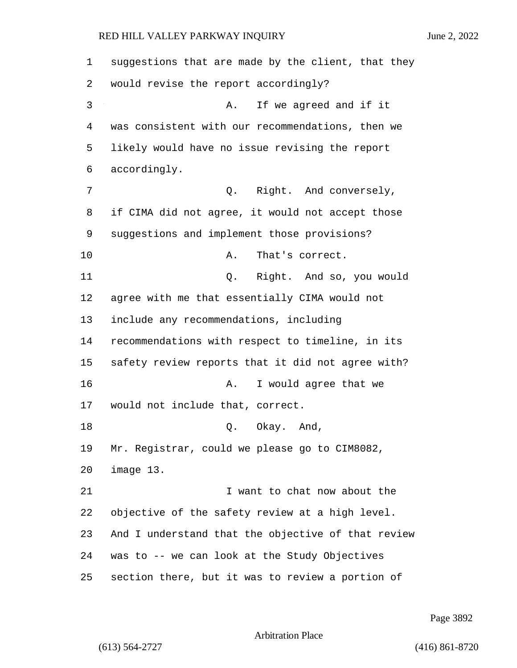suggestions that are made by the client, that they would revise the report accordingly? 3 A. If we agreed and if it was consistent with our recommendations, then we likely would have no issue revising the report accordingly. 7 Q. Right. And conversely, if CIMA did not agree, it would not accept those suggestions and implement those provisions? 10 A. That's correct. 11 Q. Right. And so, you would agree with me that essentially CIMA would not include any recommendations, including recommendations with respect to timeline, in its safety review reports that it did not agree with? 16 A. I would agree that we would not include that, correct. 18 Q. Okay. And, Mr. Registrar, could we please go to CIM8082, image 13. **I** want to chat now about the objective of the safety review at a high level. And I understand that the objective of that review was to -- we can look at the Study Objectives section there, but it was to review a portion of

Page 3892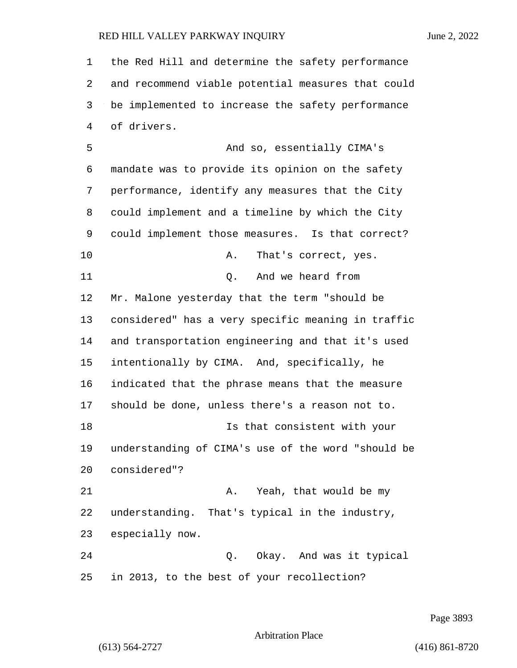the Red Hill and determine the safety performance and recommend viable potential measures that could be implemented to increase the safety performance of drivers. 5 And so, essentially CIMA's mandate was to provide its opinion on the safety performance, identify any measures that the City could implement and a timeline by which the City could implement those measures. Is that correct? 10 A. That's correct, yes. 11 Q. And we heard from Mr. Malone yesterday that the term "should be considered" has a very specific meaning in traffic and transportation engineering and that it's used intentionally by CIMA. And, specifically, he indicated that the phrase means that the measure should be done, unless there's a reason not to. 18 Is that consistent with your understanding of CIMA's use of the word "should be considered"? 21 A. Yeah, that would be my understanding. That's typical in the industry, especially now. 24 Q. Okay. And was it typical in 2013, to the best of your recollection?

Page 3893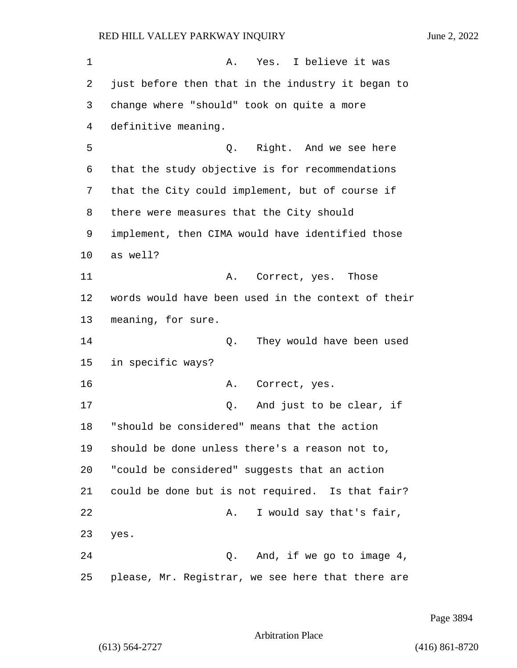1 A. Yes. I believe it was 2 just before then that in the industry it began to 3 change where "should" took on quite a more 4 definitive meaning. 5 Q. Right. And we see here 6 that the study objective is for recommendations 7 that the City could implement, but of course if 8 there were measures that the City should 9 implement, then CIMA would have identified those 10 as well? 11 A. Correct, yes. Those 12 words would have been used in the context of their 13 meaning, for sure. 14 Q. They would have been used 15 in specific ways? 16 A. Correct, yes. 17 Q. And just to be clear, if 18 "should be considered" means that the action 19 should be done unless there's a reason not to, 20 "could be considered" suggests that an action 21 could be done but is not required. Is that fair? 22 A. I would say that's fair, 23 yes. 24 Q. And, if we go to image 4, 25 please, Mr. Registrar, we see here that there are

Page 3894

Arbitration Place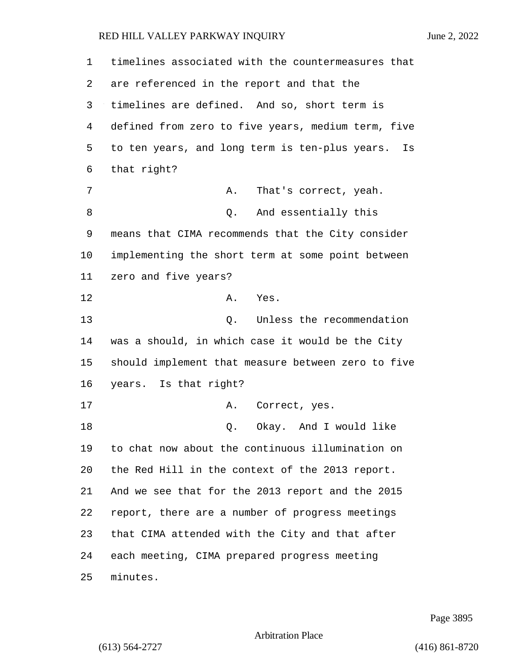| 1  | timelines associated with the countermeasures that |
|----|----------------------------------------------------|
| 2  | are referenced in the report and that the          |
| 3  | timelines are defined. And so, short term is       |
| 4  | defined from zero to five years, medium term, five |
| 5  | to ten years, and long term is ten-plus years. Is  |
| 6  | that right?                                        |
| 7  | Α.<br>That's correct, yeah.                        |
| 8  | Q. And essentially this                            |
| 9  | means that CIMA recommends that the City consider  |
| 10 | implementing the short term at some point between  |
| 11 | zero and five years?                               |
| 12 | Α.<br>Yes.                                         |
| 13 | Unless the recommendation<br>Q.                    |
| 14 | was a should, in which case it would be the City   |
| 15 | should implement that measure between zero to five |
| 16 | years. Is that right?                              |
| 17 | Correct, yes.<br>Α.                                |
| 18 | Okay. And I would like<br>Q.                       |
| 19 | to chat now about the continuous illumination on   |
| 20 | the Red Hill in the context of the 2013 report.    |
| 21 | And we see that for the 2013 report and the 2015   |
| 22 | report, there are a number of progress meetings    |
| 23 | that CIMA attended with the City and that after    |
| 24 | each meeting, CIMA prepared progress meeting       |
| 25 | minutes.                                           |

Page 3895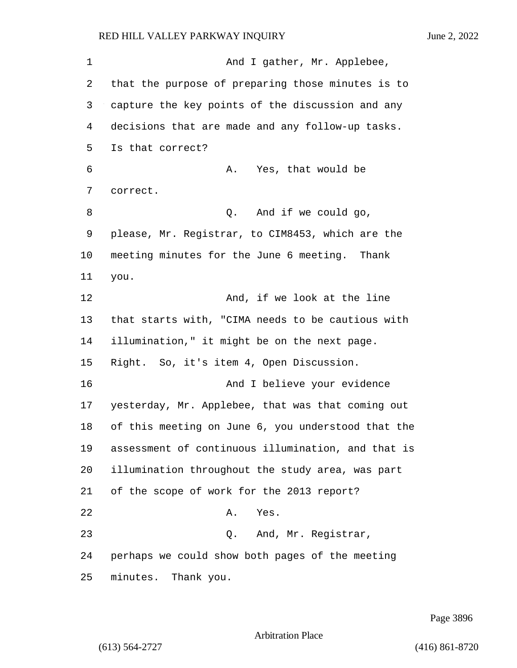1 And I gather, Mr. Applebee, that the purpose of preparing those minutes is to capture the key points of the discussion and any decisions that are made and any follow-up tasks. Is that correct? 6 A. Yes, that would be correct. 8 Q. And if we could go, please, Mr. Registrar, to CIM8453, which are the meeting minutes for the June 6 meeting. Thank you. 12 And, if we look at the line that starts with, "CIMA needs to be cautious with illumination," it might be on the next page. Right. So, it's item 4, Open Discussion. 16 And I believe your evidence yesterday, Mr. Applebee, that was that coming out of this meeting on June 6, you understood that the assessment of continuous illumination, and that is illumination throughout the study area, was part of the scope of work for the 2013 report? 22 A. Yes. 23 Q. And, Mr. Registrar, perhaps we could show both pages of the meeting minutes. Thank you.

Page 3896

Arbitration Place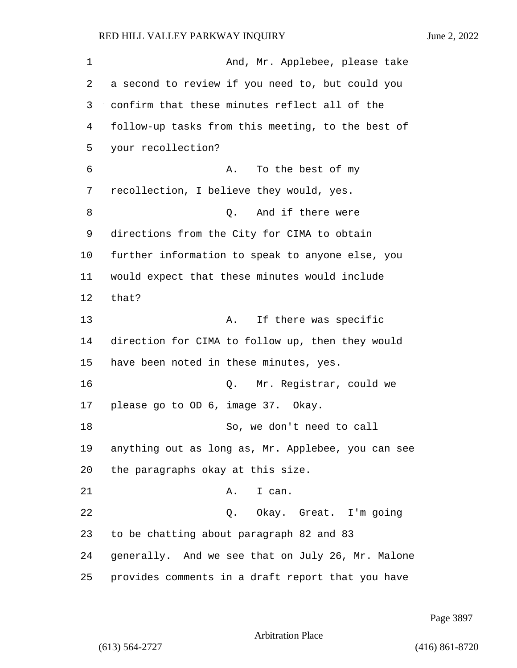**And, Mr. Applebee, please take**  a second to review if you need to, but could you confirm that these minutes reflect all of the follow-up tasks from this meeting, to the best of your recollection? 6 A. To the best of my recollection, I believe they would, yes. 8 and if there were directions from the City for CIMA to obtain further information to speak to anyone else, you would expect that these minutes would include that? 13 A. If there was specific direction for CIMA to follow up, then they would have been noted in these minutes, yes. 16 Q. Mr. Registrar, could we please go to OD 6, image 37. Okay. 18 So, we don't need to call anything out as long as, Mr. Applebee, you can see the paragraphs okay at this size. 21 A. I can. 22 Q. Okay. Great. I'm going to be chatting about paragraph 82 and 83 generally. And we see that on July 26, Mr. Malone provides comments in a draft report that you have

Page 3897

Arbitration Place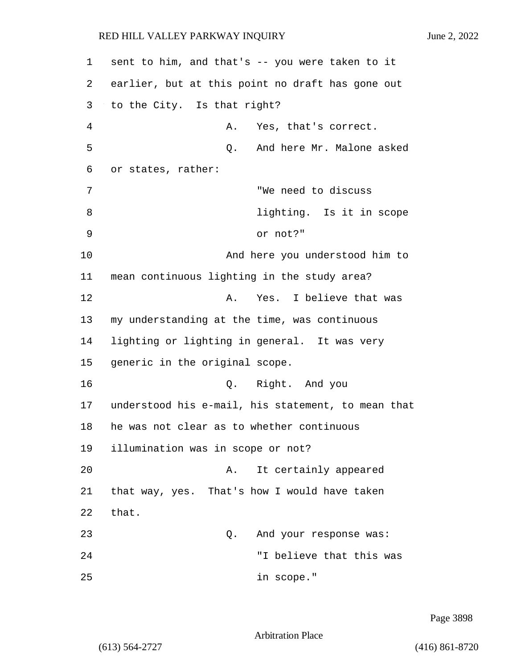1 sent to him, and that's -- you were taken to it 2 earlier, but at this point no draft has gone out 3 to the City. Is that right? 4 A. Yes, that's correct. 5 Q. And here Mr. Malone asked 6 or states, rather: 7 "We need to discuss 8 lighting. Is it in scope 9 or not?" 10 And here you understood him to 11 mean continuous lighting in the study area? 12 A. Yes. I believe that was 13 my understanding at the time, was continuous 14 lighting or lighting in general. It was very 15 generic in the original scope. 16 Q. Right. And you 17 understood his e-mail, his statement, to mean that 18 he was not clear as to whether continuous 19 illumination was in scope or not? 20 A. It certainly appeared 21 that way, yes. That's how I would have taken 22 that. 23 and your response was: 24 "I believe that this was 25 in scope."

Page 3898

Arbitration Place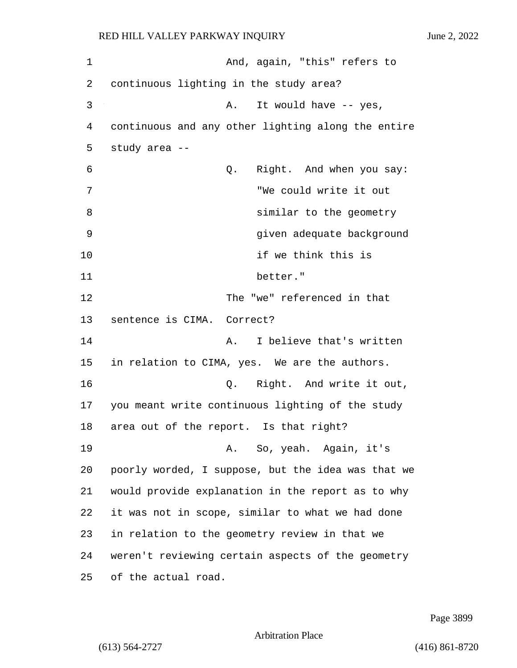1 And, again, "this" refers to 2 continuous lighting in the study area? 3 A. It would have -- yes, 4 continuous and any other lighting along the entire 5 study area -- 6 Q. Right. And when you say: 7 "We could write it out 8 **8** similar to the geometry 9 given adequate background 10 if we think this is 11 better." 12 The "we" referenced in that 13 sentence is CIMA. Correct? 14 A. I believe that's written 15 in relation to CIMA, yes. We are the authors. 16 Q. Right. And write it out, 17 you meant write continuous lighting of the study 18 area out of the report. Is that right? 19 A. So, yeah. Again, it's 20 poorly worded, I suppose, but the idea was that we 21 would provide explanation in the report as to why 22 it was not in scope, similar to what we had done 23 in relation to the geometry review in that we 24 weren't reviewing certain aspects of the geometry 25 of the actual road.

Page 3899

Arbitration Place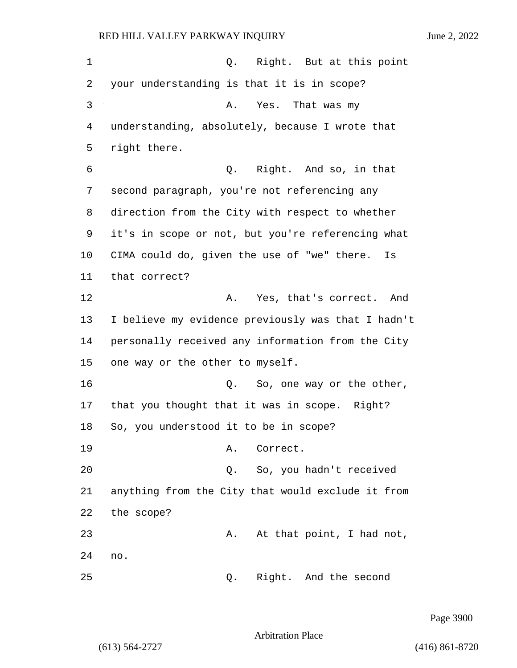1 and 1 Q. Right. But at this point 2 your understanding is that it is in scope? 3 A. Yes. That was my 4 understanding, absolutely, because I wrote that 5 right there. 6 Q. Right. And so, in that 7 second paragraph, you're not referencing any 8 direction from the City with respect to whether 9 it's in scope or not, but you're referencing what 10 CIMA could do, given the use of "we" there. Is 11 that correct? 12 A. Yes, that's correct. And 13 I believe my evidence previously was that I hadn't 14 personally received any information from the City 15 one way or the other to myself. 16 and  $Q.$  So, one way or the other, 17 that you thought that it was in scope. Right? 18 So, you understood it to be in scope? 19 A. Correct. 20 Q. So, you hadn't received 21 anything from the City that would exclude it from 22 the scope? 23 A. At that point, I had not, 24 no. 25 Q. Right. And the second

Page 3900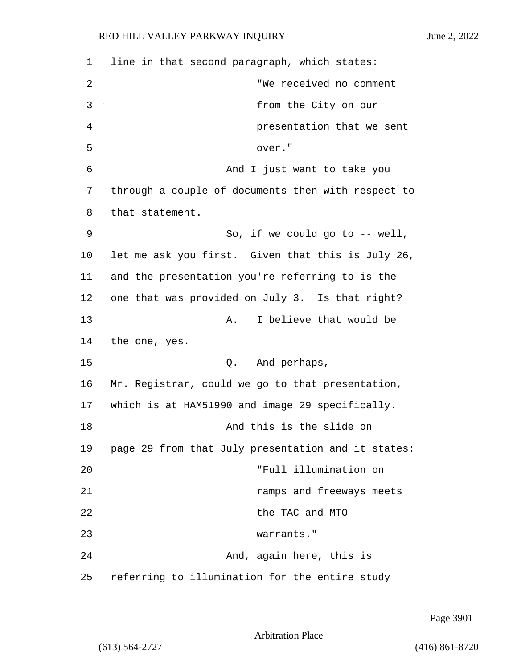| 1  | line in that second paragraph, which states:       |  |  |  |
|----|----------------------------------------------------|--|--|--|
|    |                                                    |  |  |  |
| 2  | "We received no comment                            |  |  |  |
| 3  | from the City on our                               |  |  |  |
| 4  | presentation that we sent                          |  |  |  |
| 5  | over."                                             |  |  |  |
| 6  | And I just want to take you                        |  |  |  |
| 7  | through a couple of documents then with respect to |  |  |  |
| 8  | that statement.                                    |  |  |  |
| 9  | So, if we could go to $--$ well,                   |  |  |  |
| 10 | let me ask you first. Given that this is July 26,  |  |  |  |
| 11 | and the presentation you're referring to is the    |  |  |  |
| 12 | one that was provided on July 3. Is that right?    |  |  |  |
| 13 | I believe that would be<br>Α.                      |  |  |  |
| 14 | the one, yes.                                      |  |  |  |
| 15 | Q.<br>And perhaps,                                 |  |  |  |
| 16 | Mr. Registrar, could we go to that presentation,   |  |  |  |
| 17 | which is at HAM51990 and image 29 specifically.    |  |  |  |
| 18 | And this is the slide on                           |  |  |  |
| 19 | page 29 from that July presentation and it states: |  |  |  |
| 20 | "Full illumination on                              |  |  |  |
| 21 | ramps and freeways meets                           |  |  |  |
| 22 | the TAC and MTO                                    |  |  |  |
| 23 | warrants."                                         |  |  |  |
| 24 | And, again here, this is                           |  |  |  |
| 25 | referring to illumination for the entire study     |  |  |  |

Page 3901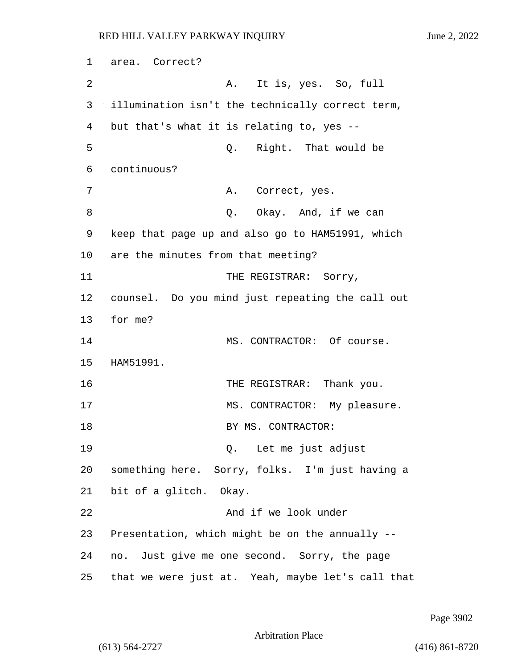1 area. Correct? 2 A. It is, yes. So, full 3 illumination isn't the technically correct term, 4 but that's what it is relating to, yes -- 5 Q. Right. That would be 6 continuous? 7 A. Correct, yes. 8 a. C. Okay. And, if we can 9 keep that page up and also go to HAM51991, which 10 are the minutes from that meeting? 11 THE REGISTRAR: Sorry, 12 counsel. Do you mind just repeating the call out 13 for me? 14 MS. CONTRACTOR: Of course. 15 HAM51991. 16 THE REGISTRAR: Thank you. 17 MS. CONTRACTOR: My pleasure. 18 BY MS. CONTRACTOR: 19 Q. Let me just adjust 20 something here. Sorry, folks. I'm just having a 21 bit of a glitch. Okay. 22 And if we look under 23 Presentation, which might be on the annually -- 24 no. Just give me one second. Sorry, the page 25 that we were just at. Yeah, maybe let's call that

Page 3902

Arbitration Place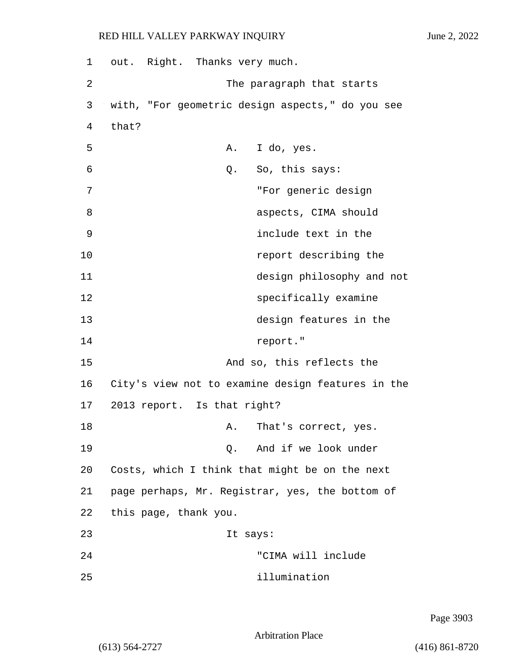| 1  | out. Right. Thanks very much.                     |  |  |  |  |
|----|---------------------------------------------------|--|--|--|--|
| 2  | The paragraph that starts                         |  |  |  |  |
| 3  | with, "For geometric design aspects," do you see  |  |  |  |  |
| 4  | that?                                             |  |  |  |  |
| 5  | A. I do, yes.                                     |  |  |  |  |
| 6  | So, this says:<br>Q.                              |  |  |  |  |
| 7  | "For generic design                               |  |  |  |  |
| 8  | aspects, CIMA should                              |  |  |  |  |
| 9  | include text in the                               |  |  |  |  |
| 10 | report describing the                             |  |  |  |  |
| 11 | design philosophy and not                         |  |  |  |  |
| 12 | specifically examine                              |  |  |  |  |
| 13 | design features in the                            |  |  |  |  |
| 14 | report."                                          |  |  |  |  |
| 15 | And so, this reflects the                         |  |  |  |  |
| 16 | City's view not to examine design features in the |  |  |  |  |
| 17 | 2013 report. Is that right?                       |  |  |  |  |
| 18 | Α.<br>That's correct, yes.                        |  |  |  |  |
| 19 | And if we look under<br>0.                        |  |  |  |  |
| 20 | Costs, which I think that might be on the next    |  |  |  |  |
| 21 | page perhaps, Mr. Registrar, yes, the bottom of   |  |  |  |  |
| 22 | this page, thank you.                             |  |  |  |  |
| 23 | It says:                                          |  |  |  |  |
| 24 | "CIMA will include                                |  |  |  |  |
| 25 | illumination                                      |  |  |  |  |

Arbitration Place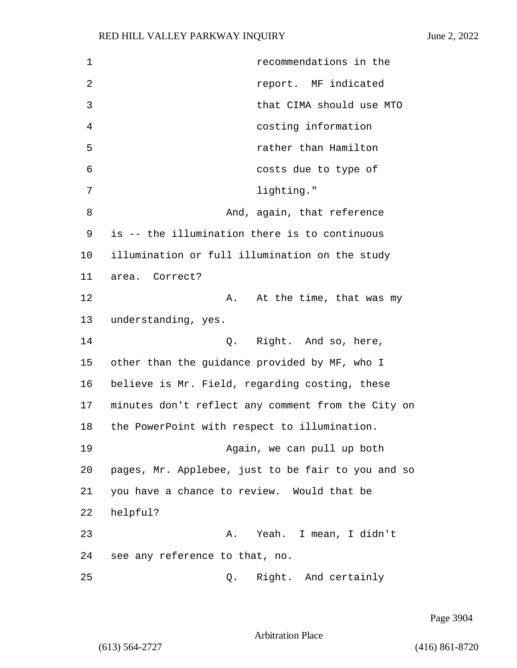1 recommendations in the 2 report. MF indicated 3 that CIMA should use MTO 4 costing information 5 rather than Hamilton 6 costs due to type of 7 lighting." 8 And, again, that reference 9 is -- the illumination there is to continuous 10 illumination or full illumination on the study 11 area. Correct? 12 A. At the time, that was my 13 understanding, yes. 14 Q. Right. And so, here, 15 other than the guidance provided by MF, who I 16 believe is Mr. Field, regarding costing, these 17 minutes don't reflect any comment from the City on 18 the PowerPoint with respect to illumination. 19 Again, we can pull up both 20 pages, Mr. Applebee, just to be fair to you and so 21 you have a chance to review. Would that be 22 helpful? 23 A. Yeah. I mean, I didn't 24 see any reference to that, no. 25 Q. Right. And certainly

Page 3904

Arbitration Place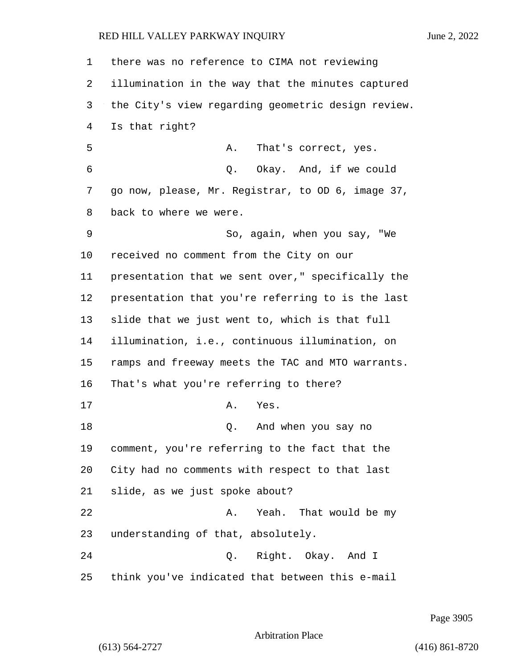there was no reference to CIMA not reviewing illumination in the way that the minutes captured the City's view regarding geometric design review. Is that right? 5 A. That's correct, yes. 6 Q. Okay. And, if we could go now, please, Mr. Registrar, to OD 6, image 37, back to where we were. 9 So, again, when you say, "We received no comment from the City on our presentation that we sent over," specifically the presentation that you're referring to is the last slide that we just went to, which is that full illumination, i.e., continuous illumination, on ramps and freeway meets the TAC and MTO warrants. That's what you're referring to there? 17 A. Yes. 18 Q. And when you say no comment, you're referring to the fact that the City had no comments with respect to that last slide, as we just spoke about? 22 A. Yeah. That would be my understanding of that, absolutely. 24 Q. Right. Okay. And I think you've indicated that between this e-mail

Page 3905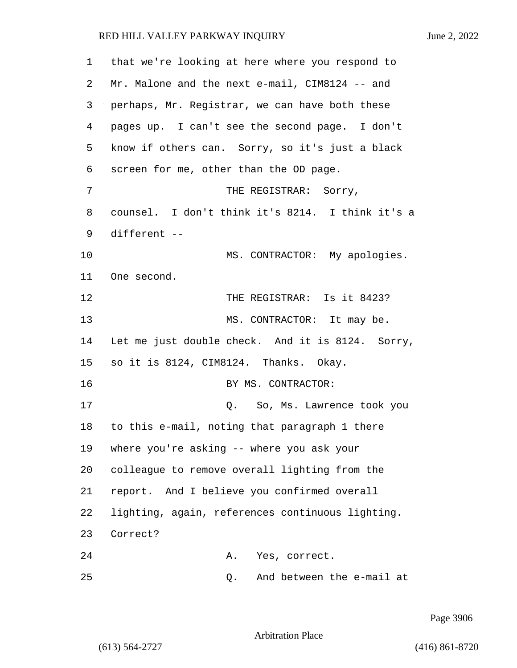that we're looking at here where you respond to Mr. Malone and the next e-mail, CIM8124 -- and perhaps, Mr. Registrar, we can have both these pages up. I can't see the second page. I don't know if others can. Sorry, so it's just a black screen for me, other than the OD page. 7 THE REGISTRAR: Sorry, counsel. I don't think it's 8214. I think it's a different -- 10 MS. CONTRACTOR: My apologies. One second. 12 THE REGISTRAR: Is it 8423? 13 MS. CONTRACTOR: It may be. Let me just double check. And it is 8124. Sorry, so it is 8124, CIM8124. Thanks. Okay. 16 BY MS. CONTRACTOR: 17 Q. So, Ms. Lawrence took you to this e-mail, noting that paragraph 1 there where you're asking -- where you ask your colleague to remove overall lighting from the report. And I believe you confirmed overall lighting, again, references continuous lighting. 23 Correct? 24 A. Yes, correct.

Page 3906

Arbitration Place

25 Q. And between the e-mail at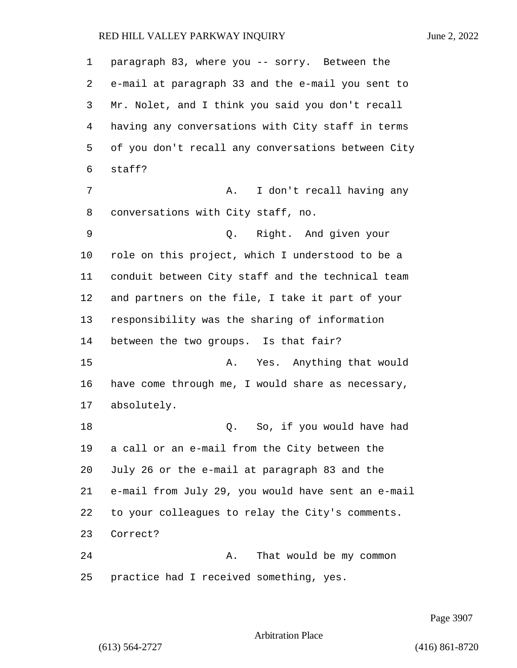paragraph 83, where you -- sorry. Between the

 e-mail at paragraph 33 and the e-mail you sent to Mr. Nolet, and I think you said you don't recall having any conversations with City staff in terms of you don't recall any conversations between City staff? 7 A. I don't recall having any conversations with City staff, no. 9 Q. Right. And given your role on this project, which I understood to be a conduit between City staff and the technical team and partners on the file, I take it part of your responsibility was the sharing of information between the two groups. Is that fair? 15 A. Yes. Anything that would have come through me, I would share as necessary, absolutely. 18 Q. So, if you would have had a call or an e-mail from the City between the July 26 or the e-mail at paragraph 83 and the e-mail from July 29, you would have sent an e-mail to your colleagues to relay the City's comments. Correct? 24 A. That would be my common practice had I received something, yes.

Page 3907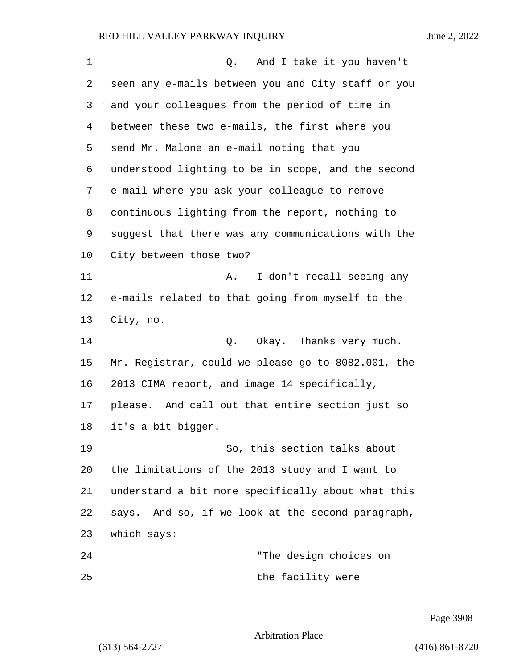| 1  | And I take it you haven't<br>Q.                    |  |  |  |  |
|----|----------------------------------------------------|--|--|--|--|
| 2  | seen any e-mails between you and City staff or you |  |  |  |  |
| 3  | and your colleagues from the period of time in     |  |  |  |  |
| 4  | between these two e-mails, the first where you     |  |  |  |  |
| 5  | send Mr. Malone an e-mail noting that you          |  |  |  |  |
| 6  | understood lighting to be in scope, and the second |  |  |  |  |
| 7  | e-mail where you ask your colleague to remove      |  |  |  |  |
| 8  | continuous lighting from the report, nothing to    |  |  |  |  |
| 9  | suggest that there was any communications with the |  |  |  |  |
| 10 | City between those two?                            |  |  |  |  |
| 11 | I don't recall seeing any<br>Α.                    |  |  |  |  |
| 12 | e-mails related to that going from myself to the   |  |  |  |  |
| 13 | City, no.                                          |  |  |  |  |
| 14 | Okay. Thanks very much.<br>Q.                      |  |  |  |  |
| 15 | Mr. Registrar, could we please go to 8082.001, the |  |  |  |  |
| 16 | 2013 CIMA report, and image 14 specifically,       |  |  |  |  |
| 17 | please. And call out that entire section just so   |  |  |  |  |
| 18 | it's a bit bigger.                                 |  |  |  |  |
| 19 | So, this section talks about                       |  |  |  |  |
| 20 | the limitations of the 2013 study and I want to    |  |  |  |  |
| 21 | understand a bit more specifically about what this |  |  |  |  |
| 22 | says. And so, if we look at the second paragraph,  |  |  |  |  |
| 23 | which says:                                        |  |  |  |  |
| 24 | "The design choices on                             |  |  |  |  |
| 25 | the facility were                                  |  |  |  |  |

Page 3908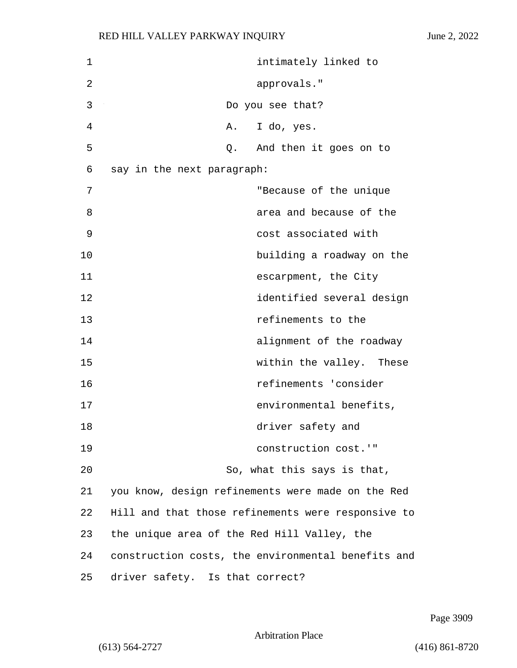| 1  | intimately linked to                               |
|----|----------------------------------------------------|
| 2  | approvals."                                        |
| 3  | Do you see that?                                   |
| 4  | I do, yes.<br>Α.                                   |
| 5  | Q. And then it goes on to                          |
| 6  | say in the next paragraph:                         |
| 7  | "Because of the unique                             |
| 8  | area and because of the                            |
| 9  | cost associated with                               |
| 10 | building a roadway on the                          |
| 11 | escarpment, the City                               |
| 12 | identified several design                          |
| 13 | refinements to the                                 |
| 14 | alignment of the roadway                           |
| 15 | within the valley. These                           |
| 16 | refinements 'consider                              |
| 17 | environmental benefits,                            |
| 18 | driver safety and                                  |
| 19 | construction cost.'"                               |
| 20 | So, what this says is that,                        |
| 21 | you know, design refinements were made on the Red  |
| 22 | Hill and that those refinements were responsive to |
| 23 | the unique area of the Red Hill Valley, the        |
| 24 | construction costs, the environmental benefits and |
| 25 | driver safety. Is that correct?                    |

Page 3909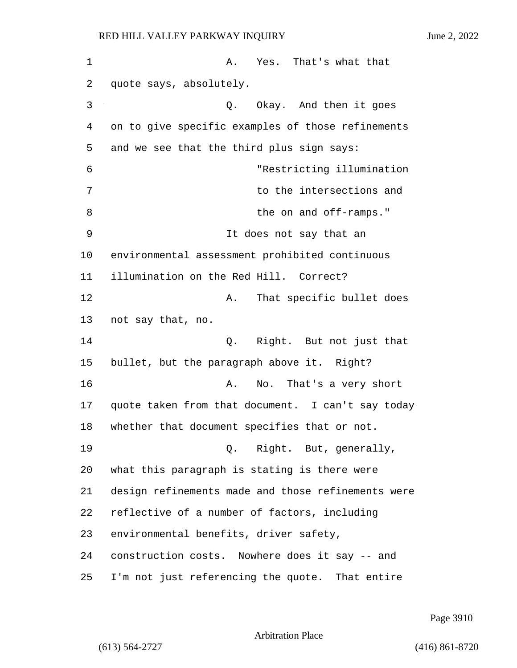1 A. Yes. That's what that quote says, absolutely. 3 Q. Okay. And then it goes on to give specific examples of those refinements and we see that the third plus sign says: 6 "Restricting illumination 7 to the intersections and 8 be on and off-ramps." 9 It does not say that an environmental assessment prohibited continuous illumination on the Red Hill. Correct? **A.** That specific bullet does not say that, no. 14 Q. Right. But not just that bullet, but the paragraph above it. Right? 16 A. No. That's a very short quote taken from that document. I can't say today whether that document specifies that or not.  $Q.$  Right. But, generally, what this paragraph is stating is there were design refinements made and those refinements were reflective of a number of factors, including environmental benefits, driver safety, construction costs. Nowhere does it say -- and I'm not just referencing the quote. That entire

Page 3910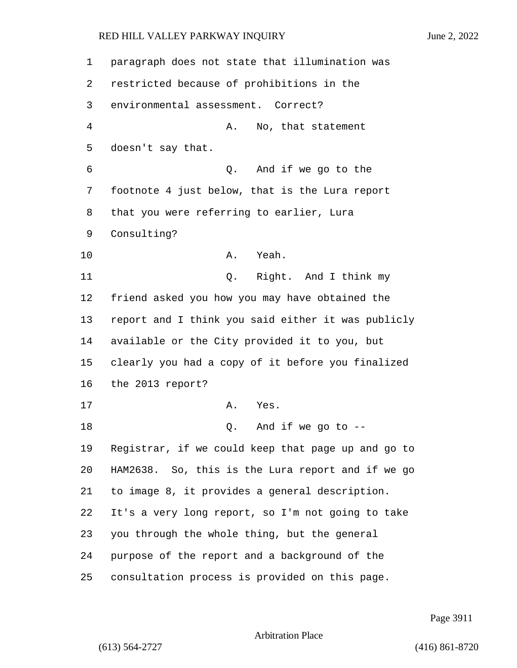| 1  | paragraph does not state that illumination was     |  |  |  |
|----|----------------------------------------------------|--|--|--|
| 2  | restricted because of prohibitions in the          |  |  |  |
| 3  | environmental assessment. Correct?                 |  |  |  |
| 4  | No, that statement<br>Α.                           |  |  |  |
| 5  | doesn't say that.                                  |  |  |  |
| 6  | And if we go to the<br>Q.                          |  |  |  |
| 7  | footnote 4 just below, that is the Lura report     |  |  |  |
| 8  | that you were referring to earlier, Lura           |  |  |  |
| 9  | Consulting?                                        |  |  |  |
| 10 | Yeah.<br>Α.                                        |  |  |  |
| 11 | Right. And I think my<br>Q.                        |  |  |  |
| 12 | friend asked you how you may have obtained the     |  |  |  |
| 13 | report and I think you said either it was publicly |  |  |  |
| 14 | available or the City provided it to you, but      |  |  |  |
| 15 | clearly you had a copy of it before you finalized  |  |  |  |
| 16 | the 2013 report?                                   |  |  |  |
| 17 | Α.<br>Yes.                                         |  |  |  |
| 18 | And if we go to $-$ -<br>Q.                        |  |  |  |
| 19 | Registrar, if we could keep that page up and go to |  |  |  |
| 20 | HAM2638. So, this is the Lura report and if we go  |  |  |  |
| 21 | to image 8, it provides a general description.     |  |  |  |
| 22 | It's a very long report, so I'm not going to take  |  |  |  |
| 23 | you through the whole thing, but the general       |  |  |  |
| 24 | purpose of the report and a background of the      |  |  |  |
| 25 | consultation process is provided on this page.     |  |  |  |

Page 3911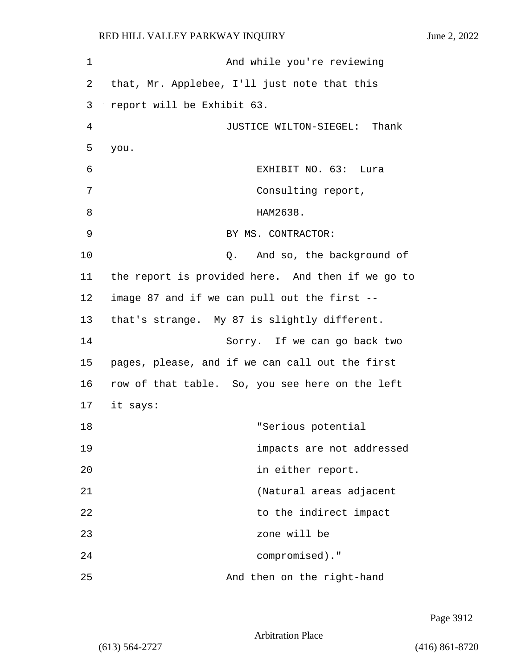1 And while you're reviewing 2 that, Mr. Applebee, I'll just note that this 3 report will be Exhibit 63. 4 JUSTICE WILTON-SIEGEL: Thank 5 you. 6 EXHIBIT NO. 63: Lura 7 Consulting report, 8 HAM2638. 9 BY MS. CONTRACTOR: 10 **Q.** And so, the background of 11 the report is provided here. And then if we go to 12 image 87 and if we can pull out the first -- 13 that's strange. My 87 is slightly different. 14 Sorry. If we can go back two 15 pages, please, and if we can call out the first 16 row of that table. So, you see here on the left 17 it says: 18 "Serious potential 19 impacts are not addressed 20 in either report. 21 (Natural areas adjacent 22 to the indirect impact 23 zone will be 24 compromised)." 25 And then on the right-hand

Page 3912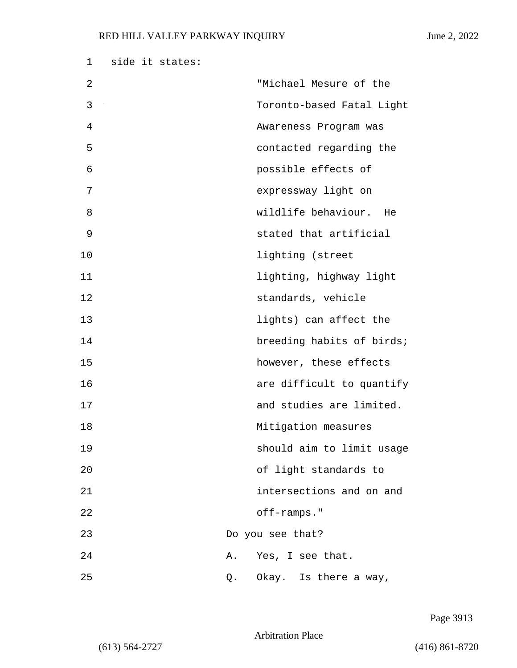| 1  | side it states: |    |                           |
|----|-----------------|----|---------------------------|
| 2  |                 |    | "Michael Mesure of the    |
| 3  |                 |    | Toronto-based Fatal Light |
| 4  |                 |    | Awareness Program was     |
| 5  |                 |    | contacted regarding the   |
| 6  |                 |    | possible effects of       |
| 7  |                 |    | expressway light on       |
| 8  |                 |    | wildlife behaviour. He    |
| 9  |                 |    | stated that artificial    |
| 10 |                 |    | lighting (street          |
| 11 |                 |    | lighting, highway light   |
| 12 |                 |    | standards, vehicle        |
| 13 |                 |    | lights) can affect the    |
| 14 |                 |    | breeding habits of birds; |
| 15 |                 |    | however, these effects    |
| 16 |                 |    | are difficult to quantify |
| 17 |                 |    | and studies are limited.  |
| 18 |                 |    | Mitigation measures       |
| 19 |                 |    | should aim to limit usage |
| 20 |                 |    | of light standards to     |
| 21 |                 |    | intersections and on and  |
| 22 |                 |    | off-ramps."               |
| 23 |                 |    | Do you see that?          |
| 24 |                 | Α. | Yes, I see that.          |
| 25 |                 | Q. | Okay. Is there a way,     |

Page 3913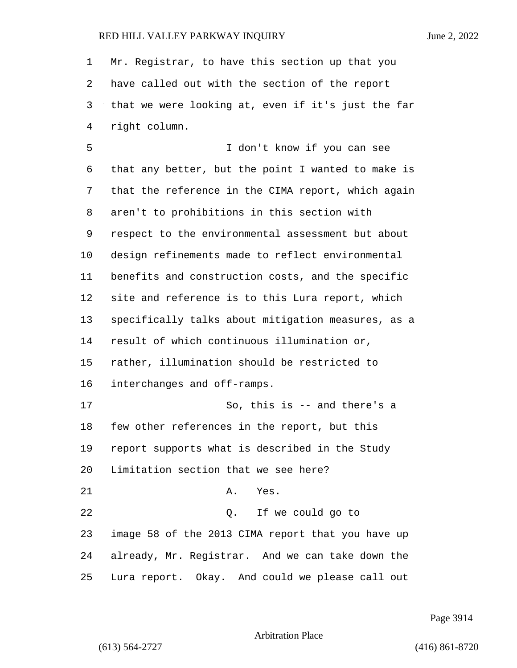Mr. Registrar, to have this section up that you have called out with the section of the report that we were looking at, even if it's just the far right column. 5 I don't know if you can see that any better, but the point I wanted to make is that the reference in the CIMA report, which again aren't to prohibitions in this section with respect to the environmental assessment but about design refinements made to reflect environmental benefits and construction costs, and the specific site and reference is to this Lura report, which specifically talks about mitigation measures, as a result of which continuous illumination or, rather, illumination should be restricted to interchanges and off-ramps. 17 So, this is -- and there's a few other references in the report, but this report supports what is described in the Study Limitation section that we see here? 21 A. Yes. 22 Q. If we could go to image 58 of the 2013 CIMA report that you have up already, Mr. Registrar. And we can take down the Lura report. Okay. And could we please call out

Page 3914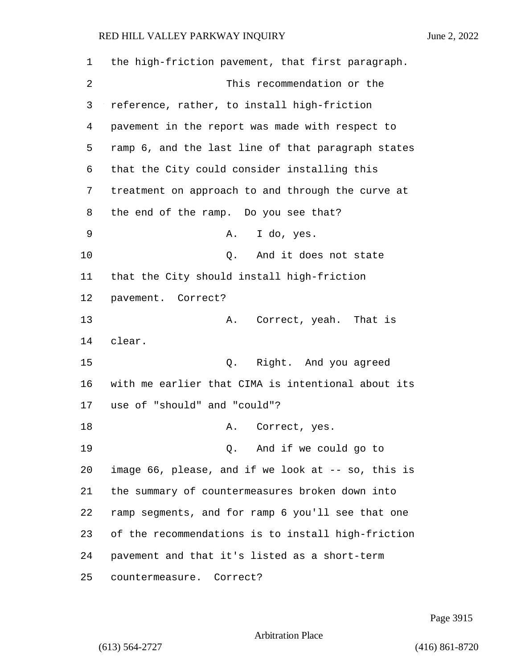the high-friction pavement, that first paragraph. 2 This recommendation or the reference, rather, to install high-friction pavement in the report was made with respect to ramp 6, and the last line of that paragraph states that the City could consider installing this treatment on approach to and through the curve at the end of the ramp. Do you see that? 9 A. I do, yes. 10 Q. And it does not state that the City should install high-friction pavement. Correct? 13 A. Correct, yeah. That is clear. 15 Q. Right. And you agreed with me earlier that CIMA is intentional about its use of "should" and "could"? 18 A. Correct, yes. 19 Q. And if we could go to image 66, please, and if we look at -- so, this is the summary of countermeasures broken down into ramp segments, and for ramp 6 you'll see that one of the recommendations is to install high-friction pavement and that it's listed as a short-term countermeasure. Correct?

Page 3915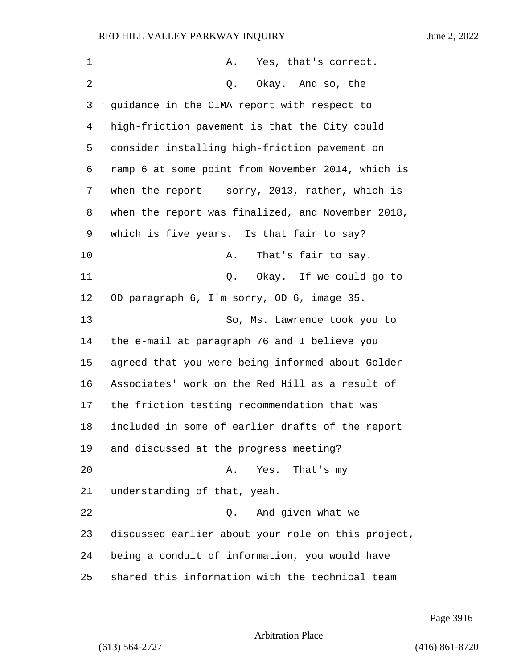1 A. Yes, that's correct. 2 Q. Okay. And so, the guidance in the CIMA report with respect to high-friction pavement is that the City could consider installing high-friction pavement on ramp 6 at some point from November 2014, which is when the report -- sorry, 2013, rather, which is when the report was finalized, and November 2018, which is five years. Is that fair to say? 10 A. That's fair to say. 11 Q. Okay. If we could go to OD paragraph 6, I'm sorry, OD 6, image 35. 13 So, Ms. Lawrence took you to the e-mail at paragraph 76 and I believe you agreed that you were being informed about Golder Associates' work on the Red Hill as a result of the friction testing recommendation that was included in some of earlier drafts of the report and discussed at the progress meeting? 20 A. Yes. That's my understanding of that, yeah. 22 Q. And given what we discussed earlier about your role on this project, being a conduit of information, you would have shared this information with the technical team

Page 3916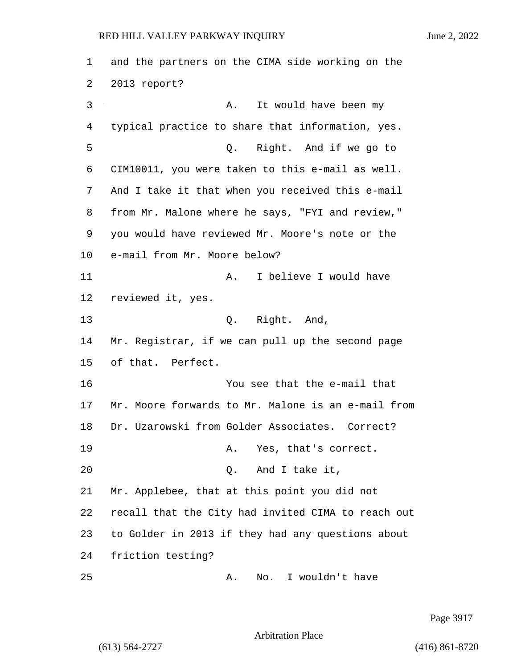and the partners on the CIMA side working on the 2013 report? 3 A. It would have been my typical practice to share that information, yes. 5 Q. Right. And if we go to CIM10011, you were taken to this e-mail as well. And I take it that when you received this e-mail from Mr. Malone where he says, "FYI and review," you would have reviewed Mr. Moore's note or the e-mail from Mr. Moore below? 11 A. I believe I would have reviewed it, yes. 13 Q. Right. And, Mr. Registrar, if we can pull up the second page of that. Perfect. 16 You see that the e-mail that Mr. Moore forwards to Mr. Malone is an e-mail from Dr. Uzarowski from Golder Associates. Correct? 19 A. Yes, that's correct. 20 Q. And I take it, Mr. Applebee, that at this point you did not recall that the City had invited CIMA to reach out to Golder in 2013 if they had any questions about friction testing? 25 A. No. I wouldn't have

Page 3917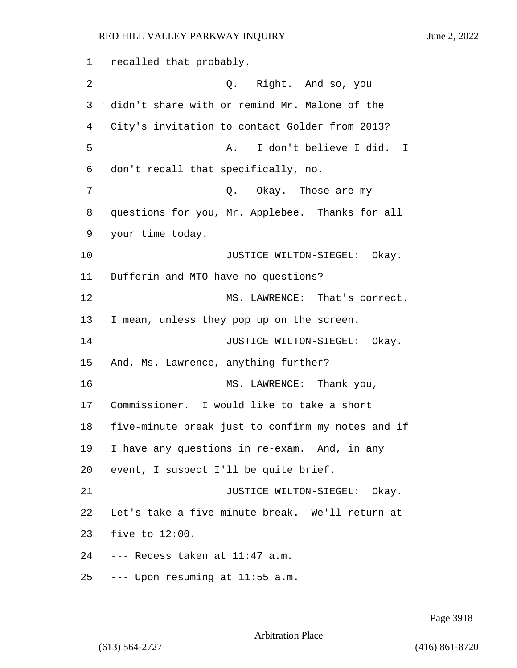recalled that probably. 2 Q. Right. And so, you didn't share with or remind Mr. Malone of the City's invitation to contact Golder from 2013? 5 A. I don't believe I did. I don't recall that specifically, no. **Q.** Okay. Those are my questions for you, Mr. Applebee. Thanks for all your time today. **JUSTICE WILTON-SIEGEL:** Okay. Dufferin and MTO have no questions? 12 MS. LAWRENCE: That's correct. I mean, unless they pop up on the screen. **JUSTICE WILTON-SIEGEL:** Okay. And, Ms. Lawrence, anything further? 16 MS. LAWRENCE: Thank you, Commissioner. I would like to take a short five-minute break just to confirm my notes and if I have any questions in re-exam. And, in any event, I suspect I'll be quite brief. **JUSTICE WILTON-SIEGEL:** Okay. Let's take a five-minute break. We'll return at five to 12:00. --- Recess taken at 11:47 a.m. --- Upon resuming at 11:55 a.m.

Page 3918

Arbitration Place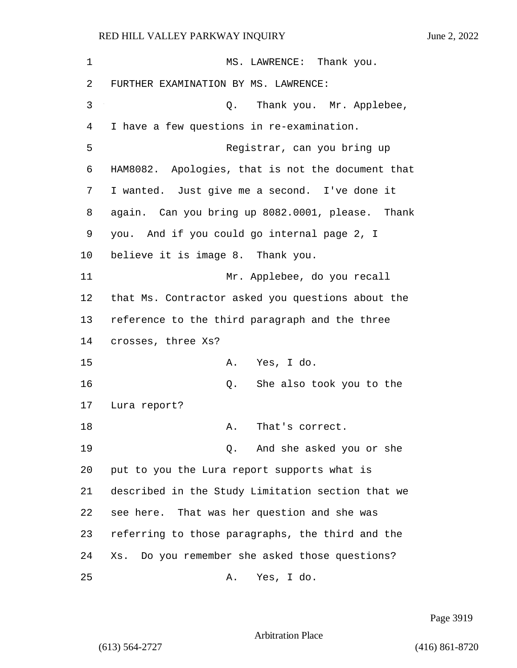1 MS. LAWRENCE: Thank you. FURTHER EXAMINATION BY MS. LAWRENCE: 3 Q. Thank you. Mr. Applebee, I have a few questions in re-examination. 5 Registrar, can you bring up HAM8082. Apologies, that is not the document that I wanted. Just give me a second. I've done it again. Can you bring up 8082.0001, please. Thank you. And if you could go internal page 2, I believe it is image 8. Thank you. 11 Mr. Applebee, do you recall that Ms. Contractor asked you questions about the reference to the third paragraph and the three crosses, three Xs? 15 A. Yes, I do. 16 Q. She also took you to the Lura report? 18 A. That's correct. 19 Q. And she asked you or she put to you the Lura report supports what is described in the Study Limitation section that we see here. That was her question and she was referring to those paragraphs, the third and the Xs. Do you remember she asked those questions? 25 A. Yes, I do.

Page 3919

Arbitration Place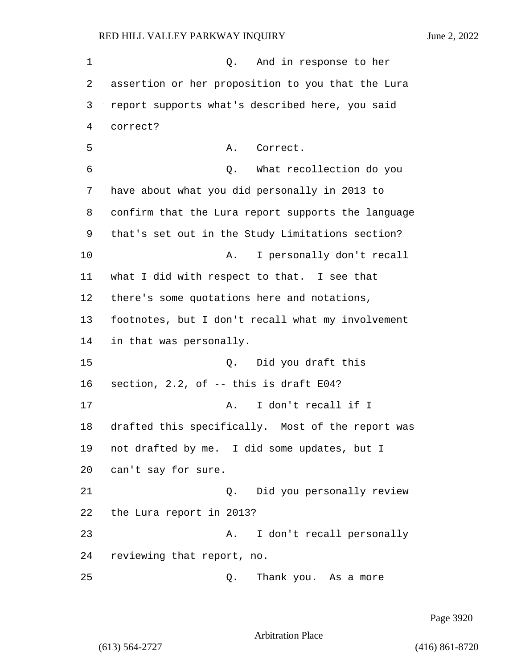1 and in response to her assertion or her proposition to you that the Lura report supports what's described here, you said 4 correct? 5 A. Correct. 6 Q. What recollection do you have about what you did personally in 2013 to confirm that the Lura report supports the language that's set out in the Study Limitations section? 10 A. I personally don't recall what I did with respect to that. I see that there's some quotations here and notations, footnotes, but I don't recall what my involvement in that was personally. 15 Q. Did you draft this section, 2.2, of -- this is draft E04? 17 A. I don't recall if I drafted this specifically. Most of the report was not drafted by me. I did some updates, but I can't say for sure. 21 Q. Did you personally review the Lura report in 2013? 23 A. I don't recall personally reviewing that report, no.

25 Q. Thank you. As a more

Page 3920

Arbitration Place